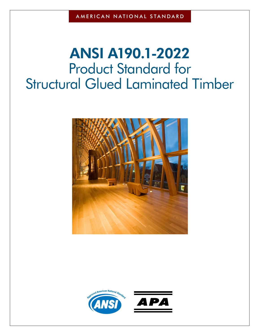# **ANSI A190.1-2022** Product Standard for Structural Glued Laminated Timber



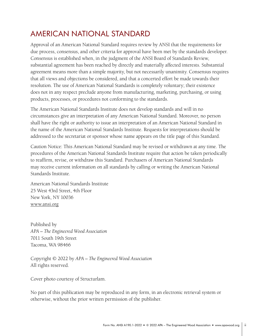# <span id="page-1-0"></span>AMERICAN NATIONAL STANDARD

Approval of an American National Standard requires review by ANSI that the requirements for due process, consensus, and other criteria for approval have been met by the standards developer. Consensus is established when, in the judgment of the ANSI Board of Standards Review, substantial agreement has been reached by directly and materially affected interests. Substantial agreement means more than a simple majority, but not necessarily unanimity. Consensus requires that all views and objections be considered, and that a concerted effort be made towards their resolution. The use of American National Standards is completely voluntary; their existence does not in any respect preclude anyone from manufacturing, marketing, purchasing, or using products, processes, or procedures not conforming to the standards.

The American National Standards Institute does not develop standards and will in no circumstances give an interpretation of any American National Standard. Moreover, no person shall have the right or authority to issue an interpretation of an American National Standard in the name of the American National Standards Institute. Requests for interpretations should be addressed to the secretariat or sponsor whose name appears on the title page of this Standard.

Caution Notice: This American National Standard may be revised or withdrawn at any time. The procedures of the American National Standards Institute require that action be taken periodically to reaffirm, revise, or withdraw this Standard. Purchasers of American National Standards may receive current information on all standards by calling or writing the American National Standards Institute.

American National Standards Institute 25 West 43rd Street, 4th Floor New York, NY 10036 [www.ansi.org](http://www.ansi.org)

Published by *APA – The Engineered Wood Association* 7011 South 19th Street Tacoma, WA 98466

Copyright © 2022 by *APA – The Engineered Wood Association* All rights reserved.

Cover photo courtesy of Structurlam.

No part of this publication may be reproduced in any form, in an electronic retrieval system or otherwise, without the prior written permission of the publisher.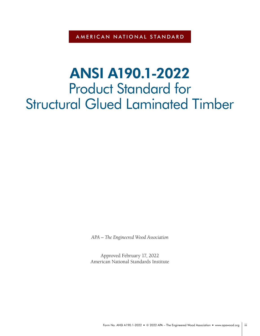AMERICAN NATIONAL STANDARD

# **ANSI A190.1-2022** Product Standard for Structural Glued Laminated Timber

*APA – The Engineered Wood Association*

Approved February 17, 2022 American National Standards Institute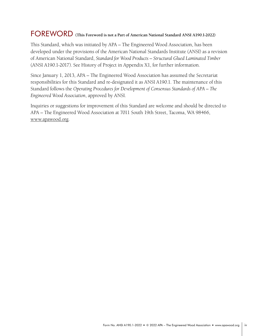# <span id="page-3-0"></span>FOREWORD **(This Foreword is not a Part of American National Standard ANSI A190.1-2022)**

This Standard, which was initiated by APA – The Engineered Wood Association, has been developed under the provisions of the American National Standards Institute (ANSI) as a revision of American National Standard, *Standard for Wood Products – Structural Glued Laminated Timber* (ANSI A190.1-2017). See History of Project in Appendix X1, for further information.

Since January 1, 2013, APA – The Engineered Wood Association has assumed the Secretariat responsibilities for this Standard and re-designated it as ANSI A190.1. The maintenance of this Standard follows the *Operating Procedures for Development of Consensus Standards of APA – The Engineered Wood Association*, approved by ANSI.

Inquiries or suggestions for improvement of this Standard are welcome and should be directed to APA – The Engineered Wood Association at 7011 South 19th Street, Tacoma, WA 98466, www.apawood.org.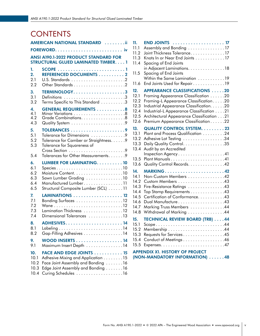# **CONTENTS**

|                                | AMERICAN NATIONAL STANDARD ii                                                                                                                |
|--------------------------------|----------------------------------------------------------------------------------------------------------------------------------------------|
|                                |                                                                                                                                              |
|                                | <b>ANSI A190.1-2022 PRODUCT STANDARD FOR</b><br><b>STRUCTURAL GLUED LAMINATED TIMBER. 1</b>                                                  |
| 1.                             |                                                                                                                                              |
| 2.                             | REFERENCED DOCUMENTS 2                                                                                                                       |
| 2.1                            |                                                                                                                                              |
| 2.2                            |                                                                                                                                              |
| 3.                             | TERMINOLOGY3                                                                                                                                 |
| 3.1                            | Definitions 3                                                                                                                                |
| 3.2                            | Terms Specific to This Standard 3                                                                                                            |
| 4.                             | <b>GENERAL REQUIREMENTS 8</b>                                                                                                                |
| 4.1                            |                                                                                                                                              |
| 4.2                            | Grade Combinations. 8                                                                                                                        |
| 4.3                            |                                                                                                                                              |
| 5.<br>5.1<br>5.2<br>5.3<br>5.4 | Tolerance for Dimensions 9<br>Tolerance for Camber or Straightness. 9<br>Tolerance for Squareness of<br>Tolerances for Other Measurements. 9 |
| 6.                             | <b>LUMBER FOR LAMINATING10</b>                                                                                                               |
| 6.1                            | Species10                                                                                                                                    |
| 6.2                            |                                                                                                                                              |
| 6.3                            | Sawn Lumber Grading 10                                                                                                                       |
| 6.4                            | Manufactured Lumber11                                                                                                                        |
| 6.5                            | Structural Composite Lumber (SCL) 11                                                                                                         |
| 7.                             | LAMINATIONS 12                                                                                                                               |
| 7.1                            |                                                                                                                                              |
| 7.2                            |                                                                                                                                              |
| 7.3                            | Lamination Thickness 12                                                                                                                      |
| 7.4                            | Dimensional Tolerances 13                                                                                                                    |
| 8.                             |                                                                                                                                              |
| 8.1                            |                                                                                                                                              |
| 8.2                            | Gap-Filling Adhesives 14                                                                                                                     |
| 9.                             | WOOD INSERTS $\dots\dots\dots\dots\dots\dots$ 14                                                                                             |
| 9.1                            | Maximum Insert Depth 14                                                                                                                      |
| 10.                            | <b>FACE AND EDGE JOINTS 15</b>                                                                                                               |
| 10.1                           | Adhesive Mixing and Application 15                                                                                                           |
| 10.2                           | Face Joint Assembly and Bonding 16                                                                                                           |
| 10.3                           | Edge Joint Assembly and Bonding 16                                                                                                           |
| 10.4                           |                                                                                                                                              |

| 11.<br>11.1<br>11.2<br>11.3<br>11.4<br>11.5                         | <b>END JOINTS</b> 17<br>Assembly and Bonding 17<br>Joint Thickness Tolerance17<br>Knots In or Near End Joints 17<br>Spacing of End Joints<br>in Adjacent Laminations. 18<br>Spacing of End Joints                                                                                                    |
|---------------------------------------------------------------------|------------------------------------------------------------------------------------------------------------------------------------------------------------------------------------------------------------------------------------------------------------------------------------------------------|
| 11.6                                                                | Within the Same Lamination 19<br>End Joints Used for Repair19                                                                                                                                                                                                                                        |
| 12.<br>12.1<br>12.2<br>12.3<br>12.4<br>12.5<br>12.6                 | <b>APPEARANCE CLASSIFICATIONS 20</b><br>Framing Appearance Classification 20<br>Framing-L Appearance Classification20<br>Industrial Appearance Classification. 20<br>Industrial-L Appearance Classification 21<br>Architectural Appearance Classification 21<br>Premium Appearance Classification 22 |
| 13.<br>13.1<br>13.2<br>13.3<br>13.4<br>13.5<br>13.6                 | <b>QUALITY CONTROL SYSTEM. 23</b><br>Plant and Process Qualification 24<br>Adhesive Lot Testing 34<br>Daily Quality Control. 35<br>Audit by an Accredited<br>Inspection Agency41<br>Quality Control Records. 42                                                                                      |
| 14.<br>14.1<br>14.2<br>14.3<br>14.4<br>14.5<br>14.6<br>14.7<br>14.8 | MARKING42<br>Non-Custom Members 42<br>Fire-Resistance Ratings 43<br>Top Stamp Requirements 43<br>Certification of Conformance. 43<br>Dual Manufacture43<br>Marking Truss Members 44<br>Withdrawal of Marking 44                                                                                      |
| 15.<br>15.1<br>15.2<br>15.3<br>15.4<br>15.5                         | <b>TECHNICAL REVIEW BOARD (TRB) 44</b><br>Scope44<br>Requests for Services45<br>Conduct of Meetings46                                                                                                                                                                                                |
|                                                                     | <b>APPENDIX X1. HISTORY OF PROJECT</b><br>(NON-MANDATORY INFORMATION) 48                                                                                                                                                                                                                             |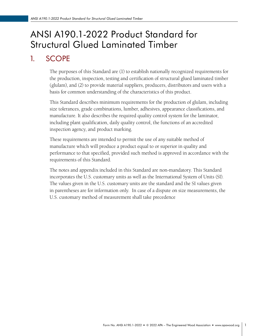# <span id="page-5-0"></span>ANSI A190.1-2022 Product Standard for Structural Glued Laminated Timber

# 1. SCOPE

The purposes of this Standard are (1) to establish nationally recognized requirements for the production, inspection, testing and certification of structural glued laminated timber (glulam), and (2) to provide material suppliers, producers, distributors and users with a basis for common understanding of the characteristics of this product.

This Standard describes minimum requirements for the production of glulam, including size tolerances, grade combinations, lumber, adhesives, appearance classifications, and manufacture. It also describes the required quality control system for the laminator, including plant qualification, daily quality control, the functions of an accredited inspection agency, and product marking.

These requirements are intended to permit the use of any suitable method of manufacture which will produce a product equal to or superior in quality and performance to that specified, provided such method is approved in accordance with the requirements of this Standard.

The notes and appendix included in this Standard are non-mandatory. This Standard incorporates the U.S. customary units as well as the International System of Units (SI). The values given in the U.S. customary units are the standard and the SI values given in parentheses are for information only. In case of a dispute on size measurements, the U.S. customary method of measurement shall take precedence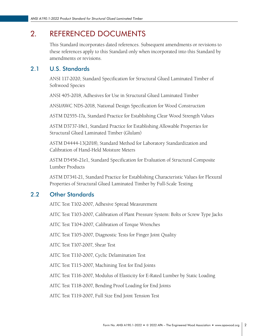# <span id="page-6-0"></span>2. REFERENCED DOCUMENTS

This Standard incorporates dated references. Subsequent amendments or revisions to these references apply to this Standard only when incorporated into this Standard by amendments or revisions.

# 2.1 U.S. Standards

ANSI 117-2020, Standard Specification for Structural Glued Laminated Timber of Softwood Species

ANSI 405-2018, Adhesives for Use in Structural Glued Laminated Timber

ANSI/AWC NDS-2018, National Design Specification for Wood Construction

ASTM D2555-17a, Standard Practice for Establishing Clear Wood Strength Values

ASTM D3737-18e1, Standard Practice for Establishing Allowable Properties for Structural Glued Laminated Timber (Glulam)

ASTM D4444-13(2018), Standard Method for Laboratory Standardization and Calibration of Hand-Held Moisture Meters

ASTM D5456-21e1, Standard Specification for Evaluation of Structural Composite Lumber Products

ASTM D7341-21, Standard Practice for Establishing Characteristic Values for Flexural Properties of Structural Glued Laminated Timber by Full-Scale Testing

# 2.2 Other Standards

AITC Test T102-2007, Adhesive Spread Measurement

AITC Test T103-2007, Calibration of Plant Pressure System: Bolts or Screw Type Jacks

AITC Test T104-2007, Calibration of Torque Wrenches

AITC Test T105-2007, Diagnostic Tests for Finger Joint Quality

AITC Test T107-2007, Shear Test

AITC Test T110-2007, Cyclic Delamination Test

AITC Test T115-2007, Machining Test for End Joints

AITC Test T116-2007, Modulus of Elasticity for E-Rated Lumber by Static Loading

AITC Test T118-2007, Bending Proof Loading for End Joints

AITC Test T119-2007, Full Size End Joint Tension Test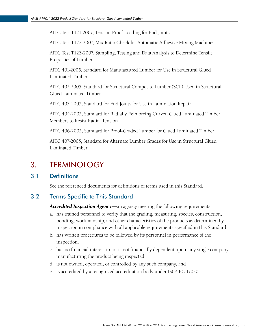<span id="page-7-0"></span>AITC Test T121-2007, Tension Proof Loading for End Joints

AITC Test T122-2007, Mix Ratio Check for Automatic Adhesive Mixing Machines

AITC Test T123-2007, Sampling, Testing and Data Analysis to Determine Tensile Properties of Lumber

AITC 401-2005, Standard for Manufactured Lumber for Use in Structural Glued Laminated Timber

AITC 402-2005, Standard for Structural Composite Lumber (SCL) Used in Structural Glued Laminated Timber

AITC 403-2005, Standard for End Joints for Use in Lamination Repair

AITC 404-2005, Standard for Radially Reinforcing Curved Glued Laminated Timber Members to Resist Radial Tension

AITC 406-2005, Standard for Proof-Graded Lumber for Glued Laminated Timber

AITC 407-2005, Standard for Alternate Lumber Grades for Use in Structural Glued Laminated Timber

# 3. TERMINOLOGY

### 3.1 Definitions

See the referenced documents for definitions of terms used in this Standard.

# 3.2 Terms Specific to This Standard

*Accredited Inspection Agency—*an agency meeting the following requirements:

- a. has trained personnel to verify that the grading, measuring, species, construction, bonding, workmanship, and other characteristics of the products as determined by inspection in compliance with all applicable requirements specified in this Standard,
- b. has written procedures to be followed by its personnel in performance of the inspection,
- c. has no financial interest in, or is not financially dependent upon, any single company manufacturing the product being inspected,
- d. is not owned, operated, or controlled by any such company, and
- e. is accredited by a recognized accreditation body under ISO/IEC 17020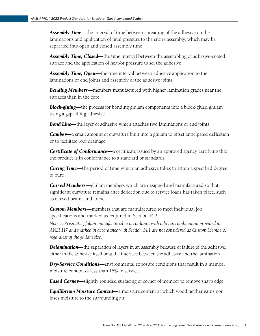*Assembly Time*—the interval of time between spreading of the adhesive on the laminations and application of final pressure to the entire assembly, which may be separated into open and closed assembly time

*Assembly Time, Closed—*the time interval between the assembling of adhesive-coated surface and the application of heat/or pressure to set the adhesive

*Assembly Time, Open—*the time interval between adhesive application to the laminations or end joints and assembly of the adhesive joints

*Bending Members—*members manufactured with higher lamination grades near the surfaces than in the core

*Block-gluing—*the process for bonding glulam components into a block-glued glulam using a gap-filling adhesive

**Bond Line—**the layer of adhesive which attaches two laminations or end joints

*Camber—a* small amount of curvature built into a glulam to offset anticipated deflection or to facilitate roof drainage

**Certificate of Conformance**—a certificate issued by an approved agency certifying that the product is in conformance to a standard or standards

*Curing Time—*the period of time which an adhesive takes to attain a specified degree of cure

*Curved Members—*glulam members which are designed and manufactured so that significant curvature remains after deflection due to service loads has taken place, such as curved beams and arches

*Custom Members—*members that are manufactured to meet individual job specifications and marked as required in Section 14.2

*Note 1: Prismatic glulam manufactured in accordance with a layup combination provided in ANSI 117 and marked in accordance with Section 14.1 are not considered as Custom Members, regardless of the glulam size.* 

**Delamination—**the separation of layers in an assembly because of failure of the adhesive, either in the adhesive itself or at the interface between the adhesive and the lamination

*Dry-Service Conditions—*environmental exposure conditions that result in a member moisture content of less than 16% in service

*Eased Corner—*slightly rounded surfacing of corner of member to remove sharp edge

*Equilibrium Moisture Content—*a moisture content at which wood neither gains nor loses moisture to the surrounding air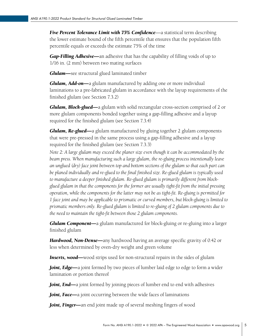*Five Percent Tolerance Limit with 75% Confidence—a statistical term describing* the lower estimate bound of the fifth percentile that ensures that the population fifth percentile equals or exceeds the estimate 75% of the time

*Gap-Filling Adhesive—*an adhesive that has the capability of filling voids of up to 1/16 in. (2 mm) between two mating surfaces

*Glulam—*see structural glued laminated timber

*Glulam, Add-on—*a glulam manufactured by adding one or more individual laminations to a pre-fabricated glulam in accordance with the layup requirements of the finished glulam (see Section 7.3.2)

*Glulam, Block-glued—*a glulam with solid rectangular cross-section comprised of 2 or more glulam components bonded together using a gap-filling adhesive and a layup required for the finished glulam (see Section 7.3.4)

*Glulam, Re-glued—*a glulam manufactured by gluing together 2 glulam components that were pre-pressed in the same process using a gap-filling adhesive and a layup required for the finished glulam (see Section 7.3.3)

*Note 2: A large glulam may exceed the planer size even though it can be accommodated by the beam press. When manufacturing such a large glulam, the re-gluing process intentionally leave an unglued (dry) face joint between top and bottom sections of the glulam so that each part can be planed individually and re-glued to the final finished size. Re-glued glulam is typically used to manufacture a deeper finished glulam. Re-glued glulam is primarily different from blockglued glulam in that the components for the former are usually tight-fit from the initial pressing operation, while the components for the latter may not be as tight-fit. Re-gluing is permitted for 1 face joint and may be applicable to prismatic or curved members, but block-gluing is limited to prismatic members only. Re-glued glulam is limited to re-gluing of 2 glulam components due to the need to maintain the tight-fit between those 2 glulam components.* 

*Glulam Component—*a glulam manufactured for block-gluing or re-gluing into a larger finished glulam

*Hardwood, Non-Dense—*any hardwood having an average specific gravity of 0.42 or less when determined by oven-dry weight and green volume

**Inserts, wood—**wood strips used for non-structural repairs in the sides of glulam

*Joint, Edge—*a joint formed by two pieces of lumber laid edge to edge to form a wider lamination or portion thereof

*Joint, End—a* joint formed by joining pieces of lumber end to end with adhesives

*Joint, Face—*a joint occurring between the wide faces of laminations

*Joint, Finger—*an end joint made up of several meshing fingers of wood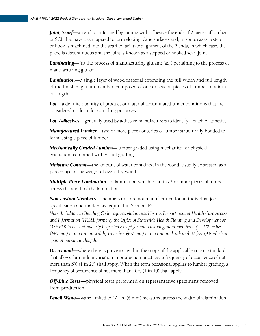*Joint, Scarf—an end joint formed by joining with adhesive the ends of 2 pieces of lumber* or SCL that have been tapered to form sloping plane surfaces and, in some cases, a step or hook is machined into the scarf to facilitate alignment of the 2 ends, in which case, the plane is discontinuous and the joint is known as a stepped or hooked scarf joint

*Laminating—(n)* the process of manufacturing glulam; (adj) pertaining to the process of manufacturing glulam

*Lamination—*a single layer of wood material extending the full width and full length of the finished glulam member, composed of one or several pieces of lumber in width or length

*Lot—*a definite quantity of product or material accumulated under conditions that are considered uniform for sampling purposes

*Lot, Adhesives—*generally used by adhesive manufacturers to identify a batch of adhesive

*Manufactured Lumber—*two or more pieces or strips of lumber structurally bonded to form a single piece of lumber

*Mechanically Graded Lumber—*lumber graded using mechanical or physical evaluation, combined with visual grading

*Moisture Content—*the amount of water contained in the wood, usually expressed as a percentage of the weight of oven-dry wood

*Multiple-Piece Lamination—*a lamination which contains 2 or more pieces of lumber across the width of the lamination

*Non-custom Members—*members that are not manufactured for an individual job specification and marked as required in Section 14.1

*Note 3: California Building Code requires glulam used by the Department of Health Care Access and Information (HCAI, formerly the Office of Statewide Health Planning and Development or OSHPD) to be continuously inspected except for non-custom glulam members of 5-1/2 inches (140 mm) in maximum width, 18 inches (457 mm) in maximum depth and 32 feet (9.8 m) clear span in maximum length.*

*Occasional—*where there is provision within the scope of the applicable rule or standard that allows for random variation in production practices, a frequency of occurrence of not more than 5% (1 in 20) shall apply. When the term occasional applies to lumber grading, a frequency of occurrence of not more than 10% (1 in 10) shall apply

*Off-Line Tests—*physical tests performed on representative specimens removed from production

*Pencil Wane—wane limited to 1/4 in.* (6 mm) measured across the width of a lamination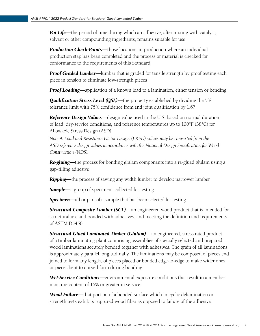**Pot Life—**the period of time during which an adhesive, after mixing with catalyst, solvent or other compounding ingredients, remains suitable for use

**Production Check-Points—**those locations in production where an individual production step has been completed and the process or material is checked for conformance to the requirements of this Standard

*Proof Graded Lumber—* lumber that is graded for tensile strength by proof testing each piece in tension to eliminate low-strength pieces

*Proof Loading—application of a known load to a lamination, either tension or bending* 

*Qualification Stress Level (QSL)—*the property established by dividing the 5% tolerance limit with 75% confidence from end joint qualification by 1.67

*Reference Design Values*—design value used in the U.S. based on normal duration of load, dry-service conditions, and reference temperatures up to 100°F (38°C) for Allowable Stress Design (ASD)

*Note 4. Load and Resistance Factor Design (LRFD) values may be converted from the ASD reference design values in accordance with the National Design Specification for Wood Construction (NDS).* 

*Re-gluing—*the process for bonding glulam components into a re-glued glulam using a gap-filling adhesive

*Ripping—*the process of sawing any width lumber to develop narrower lumber

*Sample—a* group of specimens collected for testing

*Specimen—*all or part of a sample that has been selected for testing

*Structural Composite Lumber (SCL)—*an engineered wood product that is intended for structural use and bonded with adhesives, and meeting the definition and requirements of ASTM D5456

*Structural Glued Laminated Timber (Glulam)—*an engineered, stress rated product of a timber laminating plant comprising assemblies of specially selected and prepared wood laminations securely bonded together with adhesives. The grain of all laminations is approximately parallel longitudinally. The laminations may be composed of pieces end joined to form any length, of pieces placed or bonded edge-to-edge to make wider ones or pieces bent to curved form during bonding

*Wet-Service Conditions—*environmental exposure conditions that result in a member moisture content of 16% or greater in service

*Wood Failure—*that portion of a bonded surface which in cyclic delamination or strength tests exhibits ruptured wood fiber as opposed to failure of the adhesive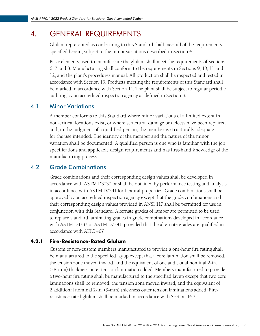# <span id="page-12-0"></span>4. GENERAL REQUIREMENTS

Glulam represented as conforming to this Standard shall meet all of the requirements specified herein, subject to the minor variations described in Section 4.1.

Basic elements used to manufacture the glulam shall meet the requirements of Sections 6, 7 and 8. Manufacturing shall conform to the requirements in Sections 9, 10, 11 and 12, and the plant's procedures manual. All production shall be inspected and tested in accordance with Section 13. Products meeting the requirements of this Standard shall be marked in accordance with Section 14. The plant shall be subject to regular periodic auditing by an accredited inspection agency as defined in Section 3.

# 4.1 Minor Variations

A member conforms to this Standard where minor variations of a limited extent in non-critical locations exist, or where structural damage or defects have been repaired and, in the judgment of a qualified person, the member is structurally adequate for the use intended. The identity of the member and the nature of the minor variation shall be documented. A qualified person is one who is familiar with the job specifications and applicable design requirements and has first-hand knowledge of the manufacturing process.

# 4.2 Grade Combinations

Grade combinations and their corresponding design values shall be developed in accordance with ASTM D3737 or shall be obtained by performance testing and analysis in accordance with ASTM D7341 for flexural properties. Grade combinations shall be approved by an accredited inspection agency except that the grade combinations and their corresponding design values provided in ANSI 117 shall be permitted for use in conjunction with this Standard. Alternate grades of lumber are permitted to be used to replace standard laminating grades in grade combinations developed in accordance with ASTM D3737 or ASTM D7341, provided that the alternate grades are qualified in accordance with AITC 407.

### 4.2.1 Fire-Resistance-Rated Glulam

Custom or non-custom members manufactured to provide a one-hour fire rating shall be manufactured to the specified layup except that a core lamination shall be removed, the tension zone moved inward, and the equivalent of one additional nominal 2-in. (38-mm) thickness outer tension lamination added. Members manufactured to provide a two-hour fire rating shall be manufactured to the specified layup except that two core laminations shall be removed, the tension zone moved inward, and the equivalent of 2 additional nominal 2-in. (3-mm) thickness outer tension laminations added. Fireresistance-rated glulam shall be marked in accordance with Section 14.3.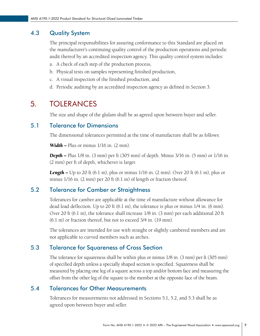# <span id="page-13-0"></span>4.3 Quality System

The principal responsibilities for assuring conformance to this Standard are placed on the manufacturer's continuing quality control of the production operations and periodic audit thereof by an accredited inspection agency. This quality control system includes:

- a. A check of each step of the production process,
- b. Physical tests on samples representing finished production,
- c. A visual inspection of the finished production, and
- d. Periodic auditing by an accredited inspection agency as defined in Section 3.

# 5. TOLERANCES

The size and shape of the glulam shall be as agreed upon between buyer and seller.

# 5.1 Tolerance for Dimensions

The dimensional tolerances permitted at the time of manufacture shall be as follows:

*Width – Plus or minus*  $1/16$  *in. (2 mm).* 

*Depth –* Plus 1/8 in. (3 mm) per ft (305 mm) of depth. Minus 3/16 in. (5 mm) or 1/16 in. (2 mm) per ft of depth, whichever is larger.

**Length –** Up to 20 ft (6.1 m), plus or minus 1/16 in. (2 mm). Over 20 ft (6.1 m), plus or minus 1/16 in. (2 mm) per 20 ft (6.1 m) of length or fraction thereof.

# 5.2 Tolerance for Camber or Straightness

Tolerances for camber are applicable at the time of manufacture without allowance for dead load deflection. Up to 20 ft (6.1 m), the tolerance is plus or minus 1/4 in. (6 mm). Over 20 ft (6.1 m), the tolerance shall increase 1/8 in. (3 mm) per each additional 20 ft (6.1 m) or fraction thereof, but not to exceed 3/4 in. (19 mm).

The tolerances are intended for use with straight or slightly cambered members and are not applicable to curved members such as arches.

# 5.3 Tolerance for Squareness of Cross Section

The tolerance for squareness shall be within plus or minus 1/8 in. (3 mm) per ft (305 mm) of specified depth unless a specially shaped section is specified. Squareness shall be measured by placing one leg of a square across a top and/or bottom face and measuring the offset from the other leg of the square to the member at the opposite face of the beam.

# 5.4 Tolerances for Other Measurements

Tolerances for measurements not addressed in Sections 5.1, 5.2, and 5.3 shall be as agreed upon between buyer and seller.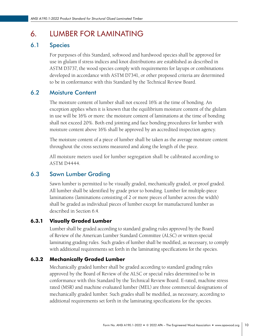# <span id="page-14-0"></span>6. LUMBER FOR LAMINATING

# 6.1 Species

For purposes of this Standard, softwood and hardwood species shall be approved for use in glulam if stress indices and knot distributions are established as described in ASTM D3737, the wood species comply with requirements for layups or combinations developed in accordance with ASTM D7341, or other proposed criteria are determined to be in conformance with this Standard by the Technical Review Board.

# 6.2 Moisture Content

The moisture content of lumber shall not exceed 16% at the time of bonding. An exception applies when it is known that the equilibrium moisture content of the glulam in use will be 16% or more: the moisture content of laminations at the time of bonding shall not exceed 20%. Both end jointing and face bonding procedures for lumber with moisture content above 16% shall be approved by an accredited inspection agency.

The moisture content of a piece of lumber shall be taken as the average moisture content throughout the cross sections measured and along the length of the piece.

All moisture meters used for lumber segregation shall be calibrated according to ASTM D4444.

# 6.3 Sawn Lumber Grading

Sawn lumber is permitted to be visually graded, mechanically graded, or proof graded. All lumber shall be identified by grade prior to bonding. Lumber for multiple-piece laminations (laminations consisting of 2 or more pieces of lumber across the width) shall be graded as individual pieces of lumber except for manufactured lumber as described in Section 6.4.

# 6.3.1 Visually Graded Lumber

Lumber shall be graded according to standard grading rules approved by the Board of Review of the American Lumber Standard Committee (ALSC) or written special laminating grading rules. Such grades of lumber shall be modified, as necessary, to comply with additional requirements set forth in the laminating specifications for the species.

### 6.3.2 Mechanically Graded Lumber

Mechanically graded lumber shall be graded according to standard grading rules approved by the Board of Review of the ALSC or special rules determined to be in conformance with this Standard by the Technical Review Board. E-rated, machine stress rated (MSR) and machine evaluated lumber (MEL) are three commercial designations of mechanically graded lumber. Such grades shall be modified, as necessary, according to additional requirements set forth in the laminating specifications for the species.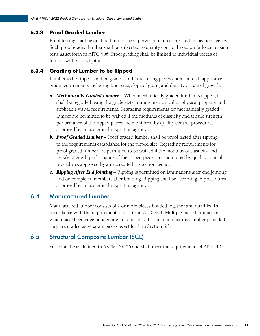#### <span id="page-15-0"></span>6.3.3 Proof Graded Lumber

Proof testing shall be qualified under the supervision of an accredited inspection agency. Such proof graded lumber shall be subjected to quality control based on full-size tension tests as set forth in AITC 406. Proof grading shall be limited to individual pieces of lumber without end joints.

#### 6.3.4 Grading of Lumber to be Ripped

Lumber to be ripped shall be graded so that resulting pieces conform to all applicable grade requirements including knot size, slope of grain, and density or rate of growth.

- *a. Mechanically Graded Lumber –* When mechanically graded lumber is ripped, it shall be regraded using the grade-determining mechanical or physical property and applicable visual requirements. Regrading requirements for mechanically graded lumber are permitted to be waived if the modulus of elasticity and tensile strength performance of the ripped pieces are monitored by quality control procedures approved by an accredited inspection agency.
- **b. Proof Graded Lumber –** Proof graded lumber shall be proof tested after ripping to the requirements established for the ripped size. Regrading requirements for proof graded lumber are permitted to be waived if the modulus of elasticity and tensile strength performance of the ripped pieces are monitored by quality control procedures approved by an accredited inspection agency.
- *c. Ripping After End Jointing –* Ripping is permitted on laminations after end jointing and on completed members after bonding. Ripping shall be according to procedures approved by an accredited inspection agency.

### 6.4 Manufactured Lumber

Manufactured lumber consists of 2 or more pieces bonded together and qualified in accordance with the requirements set forth in AITC 401. Multiple-piece laminations which have been edge bonded are not considered to be manufactured lumber provided they are graded as separate pieces as set forth in Section 6.3.

### 6.5 Structural Composite Lumber (SCL)

SCL shall be as defined in ASTM D5456 and shall meet the requirements of AITC 402.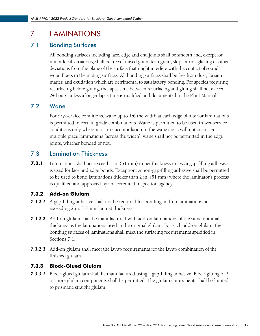# <span id="page-16-0"></span>7. LAMINATIONS

# 7.1 Bonding Surfaces

All bonding surfaces including face, edge and end joints shall be smooth and, except for minor local variations, shall be free of raised grain, torn grain, skip, burns, glazing or other deviations from the plane of the surface that might interfere with the contact of sound wood fibers in the mating surfaces. All bonding surfaces shall be free from dust, foreign matter, and exudation which are detrimental to satisfactory bonding. For species requiring resurfacing before gluing, the lapse time between resurfacing and gluing shall not exceed 24 hours unless a longer lapse time is qualified and documented in the Plant Manual.

# 7.2 Wane

For dry-service conditions, wane up to 1/6 the width at each edge of interior laminations is permitted in certain grade combinations. Wane is permitted to be used in wet-service conditions only where moisture accumulation in the wane areas will not occur. For multiple piece laminations (across the width), wane shall not be permitted in the edge joints, whether bonded or not.

### 7.3 Lamination Thickness

**7.3.1** Laminations shall not exceed 2 in. (51 mm) in net thickness unless a gap-filling adhesive is used for face and edge bonds. Exception: A non-gap-filling adhesive shall be permitted to be used to bond laminations thicker than 2 in. (51 mm) where the laminator's process is qualified and approved by an accredited inspection agency.

#### 7.3.2 Add-on Glulam

- *7.3.2.1* A gap-filling adhesive shall not be required for bonding add-on laminations not exceeding 2 in. (51 mm) in net thickness.
- *7.3.2.2* Add-on glulam shall be manufactured with add-on laminations of the same nominal thickness as the laminations used in the original glulam. For each add-on glulam, the bonding surfaces of laminations shall meet the surfacing requirements specified in Sections 7.1.
- *7.3.2.3* Add-on glulam shall meet the layup requirements for the layup combination of the finished glulam.

#### 7.3.3 Block-Glued Glulam

*7.3.3.1* Block-glued glulam shall be manufactured using a gap-filling adhesive. Block-gluing of 2 or more glulam components shall be permitted. The glulam components shall be limited to prismatic straight glulam.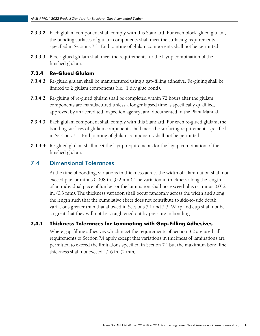- <span id="page-17-0"></span>**7.3.3.2** Each glulam component shall comply with this Standard. For each block-glued glulam, the bonding surfaces of glulam components shall meet the surfacing requirements specified in Sections 7.1. End jointing of glulam components shall not be permitted.
- *7.3.3.3* Block-glued glulam shall meet the requirements for the layup combination of the finished glulam.

#### 7.3.4 Re-Glued Glulam

- *7.3.4.1* Re-glued glulam shall be manufactured using a gap-filling adhesive. Re-gluing shall be limited to 2 glulam components (i.e., 1 dry glue bond).
- **7.3.4.2** Re-gluing of re-glued glulam shall be completed within 72 hours after the glulam components are manufactured unless a longer lapsed time is specifically qualified, approved by an accredited inspection agency, and documented in the Plant Manual.
- *7.3.4.3* Each glulam component shall comply with this Standard. For each re-glued glulam, the bonding surfaces of glulam components shall meet the surfacing requirements specified in Sections 7.1. End jointing of glulam components shall not be permitted.
- *7.3.4.4* Re-glued glulam shall meet the layup requirements for the layup combination of the finished glulam.

### 7.4 Dimensional Tolerances

At the time of bonding, variations in thickness across the width of a lamination shall not exceed plus or minus 0.008 in. (0.2 mm). The variation in thickness along the length of an individual piece of lumber or the lamination shall not exceed plus or minus 0.012 in. (0.3 mm). The thickness variation shall occur randomly across the width and along the length such that the cumulative effect does not contribute to side-to-side depth variations greater than that allowed in Sections 5.1 and 5.3. Warp and cup shall not be so great that they will not be straightened out by pressure in bonding.

#### 7.4.1 Thickness Tolerances for Laminating with Gap-Filling Adhesives

Where gap-filling adhesives which meet the requirements of Section 8.2 are used, all requirements of Section 7.4 apply except that variations in thickness of laminations are permitted to exceed the limitations specified in Section 7.4 but the maximum bond line thickness shall not exceed 1/16 in. (2 mm).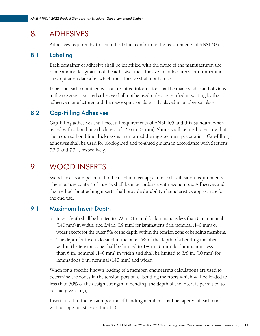# <span id="page-18-0"></span>8. ADHESIVES

Adhesives required by this Standard shall conform to the requirements of ANSI 405.

## 8.1 Labeling

Each container of adhesive shall be identified with the name of the manufacturer, the name and/or designation of the adhesive, the adhesive manufacturer's lot number and the expiration date after which the adhesive shall not be used.

Labels on each container, with all required information shall be made visible and obvious to the observer. Expired adhesive shall not be used unless recertified in writing by the adhesive manufacturer and the new expiration date is displayed in an obvious place.

# 8.2 Gap-Filling Adhesives

Gap-filling adhesives shall meet all requirements of ANSI 405 and this Standard when tested with a bond line thickness of 1/16 in. (2 mm). Shims shall be used to ensure that the required bond line thickness is maintained during specimen preparation. Gap-filling adhesives shall be used for block-glued and re-glued glulam in accordance with Sections 7.3.3 and 7.3.4, respectively.

# 9. WOOD INSERTS

Wood inserts are permitted to be used to meet appearance classification requirements. The moisture content of inserts shall be in accordance with Section 6.2. Adhesives and the method for attaching inserts shall provide durability characteristics appropriate for the end use.

# 9.1 Maximum Insert Depth

- a. Insert depth shall be limited to 1/2 in. (13 mm) for laminations less than 6 in. nominal (140 mm) in width, and 3/4 in. (19 mm) for laminations 6 in. nominal (140 mm) or wider except for the outer 5% of the depth within the tension zone of bending members.
- b. The depth for inserts located in the outer 5% of the depth of a bending member within the tension zone shall be limited to 1/4 in. (6 mm) for laminations less than 6 in. nominal (140 mm) in width and shall be limited to 3/8 in. (10 mm) for laminations 6 in. nominal (140 mm) and wider.

When for a specific known loading of a member, engineering calculations are used to determine the zones in the tension portion of bending members which will be loaded to less than 50% of the design strength in bending, the depth of the insert is permitted to be that given in (a).

Inserts used in the tension portion of bending members shall be tapered at each end with a slope not steeper than 1:16.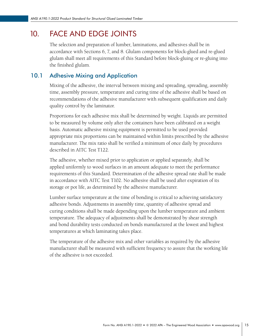# <span id="page-19-0"></span>10. FACE AND EDGE JOINTS

The selection and preparation of lumber, laminations, and adhesives shall be in accordance with Sections 6, 7, and 8. Glulam components for block-glued and re-glued glulam shall meet all requirements of this Standard before block-gluing or re-gluing into the finished glulam.

### 10.1 Adhesive Mixing and Application

Mixing of the adhesive, the interval between mixing and spreading, spreading, assembly time, assembly pressure, temperature and curing time of the adhesive shall be based on recommendations of the adhesive manufacturer with subsequent qualification and daily quality control by the laminator.

Proportions for each adhesive mix shall be determined by weight. Liquids are permitted to be measured by volume only after the containers have been calibrated on a weight basis. Automatic adhesive mixing equipment is permitted to be used provided appropriate mix proportions can be maintained within limits prescribed by the adhesive manufacturer. The mix ratio shall be verified a minimum of once daily by procedures described in AITC Test T122.

The adhesive, whether mixed prior to application or applied separately, shall be applied uniformly to wood surfaces in an amount adequate to meet the performance requirements of this Standard. Determination of the adhesive spread rate shall be made in accordance with AITC Test T102. No adhesive shall be used after expiration of its storage or pot life, as determined by the adhesive manufacturer.

Lumber surface temperature at the time of bonding is critical to achieving satisfactory adhesive bonds. Adjustments in assembly time, quantity of adhesive spread and curing conditions shall be made depending upon the lumber temperature and ambient temperature. The adequacy of adjustments shall be demonstrated by shear strength and bond durability tests conducted on bonds manufactured at the lowest and highest temperatures at which laminating takes place.

The temperature of the adhesive mix and other variables as required by the adhesive manufacturer shall be measured with sufficient frequency to assure that the working life of the adhesive is not exceeded.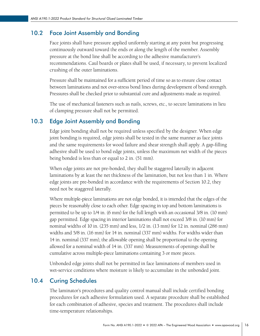### <span id="page-20-0"></span>10.2 Face Joint Assembly and Bonding

Face joints shall have pressure applied uniformly starting at any point but progressing continuously outward toward the ends or along the length of the member. Assembly pressure at the bond line shall be according to the adhesive manufacturer's recommendations. Caul boards or plates shall be used, if necessary, to prevent localized crushing of the outer laminations.

Pressure shall be maintained for a sufficient period of time so as to ensure close contact between laminations and not over-stress bond lines during development of bond strength. Pressures shall be checked prior to substantial cure and adjustments made as required.

The use of mechanical fasteners such as nails, screws, etc., to secure laminations in lieu of clamping pressure shall not be permitted.

### 10.3 Edge Joint Assembly and Bonding

Edge joint bonding shall not be required unless specified by the designer. When edge joint bonding is required, edge joints shall be tested in the same manner as face joints and the same requirements for wood failure and shear strength shall apply. A gap-filling adhesive shall be used to bond edge joints, unless the maximum net width of the pieces being bonded is less than or equal to 2 in. (51 mm).

When edge joints are not pre-bonded, they shall be staggered laterally in adjacent laminations by at least the net thickness of the lamination, but not less than 1 in. Where edge joints are pre-bonded in accordance with the requirements of Section 10.2, they need not be staggered laterally.

Where multiple-piece laminations are not edge bonded, it is intended that the edges of the pieces be reasonably close to each other. Edge spacing in top and bottom laminations is permitted to be up to 1/4 in. (6 mm) for the full length with an occasional 3/8 in. (10 mm) gap permitted. Edge spacing in interior laminations shall not exceed 3/8 in. (10 mm) for nominal widths of 10 in. (235 mm) and less, 1/2 in. (13 mm) for 12 in. nominal (286 mm) widths and 5/8 in. (16 mm) for 14 in. nominal (337 mm) widths. For widths wider than 14 in. nominal (337 mm), the allowable opening shall be proportional to the opening allowed for a nominal width of 14 in. (337 mm). Measurements of openings shall be cumulative across multiple-piece laminations containing 3 or more pieces.

Unbonded edge joints shall not be permitted in face laminations of members used in wet-service conditions where moisture is likely to accumulate in the unbonded joint.

# 10.4 Curing Schedules

The laminator's procedures and quality control manual shall include certified bonding procedures for each adhesive formulation used. A separate procedure shall be established for each combination of adhesive, species and treatment. The procedures shall include time-temperature relationships.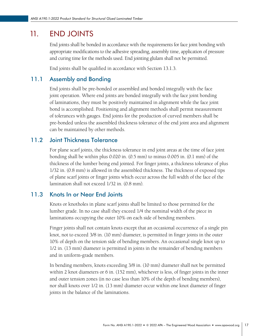# <span id="page-21-0"></span>11. END JOINTS

End joints shall be bonded in accordance with the requirements for face joint bonding with appropriate modifications to the adhesive spreading, assembly time, application of pressure and curing time for the methods used. End jointing glulam shall not be permitted.

End joints shall be qualified in accordance with Section 13.1.3.

# 11.1 Assembly and Bonding

End joints shall be pre-bonded or assembled and bonded integrally with the face joint operation. Where end joints are bonded integrally with the face joint bonding of laminations, they must be positively maintained in alignment while the face joint bond is accomplished. Positioning and alignment methods shall permit measurement of tolerances with gauges. End joints for the production of curved members shall be pre-bonded unless the assembled thickness tolerance of the end joint area and alignment can be maintained by other methods.

# 11.2 Joint Thickness Tolerance

For plane scarf joints, the thickness tolerance in end joint areas at the time of face joint bonding shall be within plus 0.020 in. (0.5 mm) to minus 0.005 in. (0.1 mm) of the thickness of the lumber being end jointed. For finger joints, a thickness tolerance of plus 1/32 in. (0.8 mm) is allowed in the assembled thickness. The thickness of exposed tips of plane scarf joints or finger joints which occur across the full width of the face of the lamination shall not exceed 1/32 in. (0.8 mm).

# 11.3 Knots In or Near End Joints

Knots or knotholes in plane scarf joints shall be limited to those permitted for the lumber grade. In no case shall they exceed 1/4 the nominal width of the piece in laminations occupying the outer 10% on each side of bending members.

Finger joints shall not contain knots except that an occasional occurrence of a single pin knot, not to exceed 3/8 in. (10 mm) diameter, is permitted in finger joints in the outer 10% of depth on the tension side of bending members. An occasional single knot up to 1/2 in. (13 mm) diameter is permitted in joints in the remainder of bending members and in uniform-grade members.

In bending members, knots exceeding 3/8 in. (10 mm) diameter shall not be permitted within 2 knot diameters or 6 in. (152 mm), whichever is less, of finger joints in the inner and outer tension zones (in no case less than 10% of the depth of bending members), nor shall knots over 1/2 in. (13 mm) diameter occur within one knot diameter of finger joints in the balance of the laminations.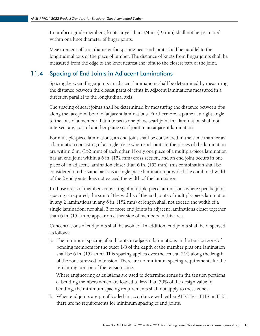<span id="page-22-0"></span>In uniform-grade members, knots larger than 3/4 in. (19 mm) shall not be permitted within one knot diameter of finger joints.

Measurement of knot diameter for spacing near end joints shall be parallel to the longitudinal axis of the piece of lumber. The distance of knots from finger joints shall be measured from the edge of the knot nearest the joint to the closest part of the joint.

# 11.4 Spacing of End Joints in Adjacent Laminations

Spacing between finger joints in adjacent laminations shall be determined by measuring the distance between the closest parts of joints in adjacent laminations measured in a direction parallel to the longitudinal axis.

The spacing of scarf joints shall be determined by measuring the distance between tips along the face joint bond of adjacent laminations. Furthermore, a plane at a right angle to the axis of a member that intersects one plane scarf joint in a lamination shall not intersect any part of another plane scarf joint in an adjacent lamination.

For multiple-piece laminations, an end joint shall be considered in the same manner as a lamination consisting of a single piece when end joints in the pieces of the lamination are within 6 in. (152 mm) of each other. If only one piece of a multiple-piece lamination has an end joint within a 6 in. (152 mm) cross section, and an end joint occurs in one piece of an adjacent lamination closer than 6 in. (152 mm), this combination shall be considered on the same basis as a single piece lamination provided the combined width of the 2 end joints does not exceed the width of the lamination.

In those areas of members consisting of multiple-piece laminations where specific joint spacing is required, the sum of the widths of the end joints of multiple-piece lamination in any 2 laminations in any 6 in. (152 mm) of length shall not exceed the width of a single lamination; nor shall 3 or more end joints in adjacent laminations closer together than 6 in. (152 mm) appear on either side of members in this area.

Concentrations of end joints shall be avoided. In addition, end joints shall be dispersed as follows:

a. The minimum spacing of end joints in adjacent laminations in the tension zone of bending members for the outer 1/8 of the depth of the member plus one lamination shall be 6 in. (152 mm). This spacing applies over the central 75% along the length of the zone stressed in tension. There are no minimum spacing requirements for the remaining portion of the tension zone.

Where engineering calculations are used to determine zones in the tension portions of bending members which are loaded to less than 50% of the design value in bending, the minimum spacing requirements shall not apply to these zones.

b. When end joints are proof loaded in accordance with either AITC Test T118 or T121, there are no requirements for minimum spacing of end joints.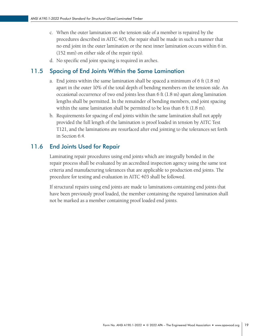- <span id="page-23-0"></span>c. When the outer lamination on the tension side of a member is repaired by the procedures described in AITC 403, the repair shall be made in such a manner that no end joint in the outer lamination or the next inner lamination occurs within 6 in. (152 mm) on either side of the repair tip(s).
- d. No specific end joint spacing is required in arches.

### 11.5 Spacing of End Joints Within the Same Lamination

- a. End joints within the same lamination shall be spaced a minimum of 6 ft (1.8 m) apart in the outer 10% of the total depth of bending members on the tension side. An occasional occurrence of two end joints less than 6 ft (1.8 m) apart along lamination lengths shall be permitted. In the remainder of bending members, end joint spacing within the same lamination shall be permitted to be less than 6 ft (1.8 m).
- b. Requirements for spacing of end joints within the same lamination shall not apply provided the full length of the lamination is proof loaded in tension by AITC Test T121, and the laminations are resurfaced after end jointing to the tolerances set forth in Section 6.4.

### 11.6 End Joints Used for Repair

Laminating repair procedures using end joints which are integrally bonded in the repair process shall be evaluated by an accredited inspection agency using the same test criteria and manufacturing tolerances that are applicable to production end joints. The procedure for testing and evaluation in AITC 403 shall be followed.

If structural repairs using end joints are made to laminations containing end joints that have been previously proof loaded, the member containing the repaired lamination shall not be marked as a member containing proof loaded end joints.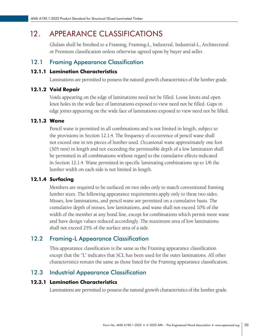# <span id="page-24-0"></span>12. APPEARANCE CLASSIFICATIONS

Glulam shall be finished to a Framing, Framing-L, Industrial, Industrial-L, Architectural or Premium classification unless otherwise agreed upon by buyer and seller.

# 12.1 Framing Appearance Classification

#### 12.1.1 Lamination Characteristics

Laminations are permitted to possess the natural growth characteristics of the lumber grade.

#### 12.1.2 Void Repair

Voids appearing on the edge of laminations need not be filled. Loose knots and open knot holes in the wide face of laminations exposed to view need not be filled. Gaps in edge joints appearing on the wide face of laminations exposed to view need not be filled.

#### 12.1.3 Wane

Pencil wane is permitted in all combinations and is not limited in length, subject to the provisions in Section 12.1.4. The frequency of occurrence of pencil wane shall not exceed one in ten pieces of lumber used. Occasional wane approximately one foot (305 mm) in length and not exceeding the permissible depth of a low lamination shall be permitted in all combinations without regard to the cumulative effects indicated in Section 12.1.4. Wane permitted in specific laminating combinations up to 1/6 the lumber width on each side is not limited in length.

#### 12.1.4 Surfacing

Members are required to be surfaced on two sides only to match conventional framing lumber sizes. The following appearance requirements apply only to these two sides. Misses, low laminations, and pencil wane are permitted on a cumulative basis. The cumulative depth of misses, low laminations, and wane shall not exceed 10% of the width of the member at any bond line, except for combinations which permit more wane and have design values reduced accordingly. The maximum area of low laminations shall not exceed 25% of the surface area of a side.

# 12.2 Framing-L Appearance Classification

This appearance classification is the same as the Framing appearance classification except that the "L" indicates that SCL has been used for the outer laminations. All other characteristics remain the same as those listed for the Framing appearance classification.

# 12.3 Industrial Appearance Classification

#### 12.3.1 Lamination Characteristics

Laminations are permitted to possess the natural growth characteristics of the lumber grade.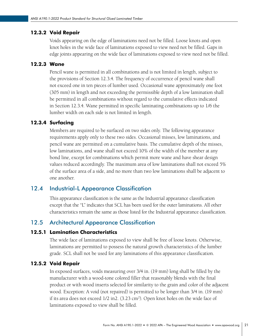#### <span id="page-25-0"></span>12.3.2 Void Repair

Voids appearing on the edge of laminations need not be filled. Loose knots and open knot holes in the wide face of laminations exposed to view need not be filled. Gaps in edge joints appearing on the wide face of laminations exposed to view need not be filled.

#### 12.2.3 Wane

Pencil wane is permitted in all combinations and is not limited in length, subject to the provisions of Section 12.3.4. The frequency of occurrence of pencil wane shall not exceed one in ten pieces of lumber used. Occasional wane approximately one foot (305 mm) in length and not exceeding the permissible depth of a low lamination shall be permitted in all combinations without regard to the cumulative effects indicated in Section 12.3.4. Wane permitted in specific laminating combinations up to 1/6 the lumber width on each side is not limited in length.

#### 12.3.4 Surfacing

Members are required to be surfaced on two sides only. The following appearance requirements apply only to these two sides. Occasional misses, low laminations, and pencil wane are permitted on a cumulative basis. The cumulative depth of the misses, low laminations, and wane shall not exceed 10% of the width of the member at any bond line, except for combinations which permit more wane and have shear design values reduced accordingly. The maximum area of low laminations shall not exceed 5% of the surface area of a side, and no more than two low laminations shall be adjacent to one another.

# 12.4 Industrial-L Appearance Classification

This appearance classification is the same as the Industrial appearance classification except that the "L" indicates that SCL has been used for the outer laminations. All other characteristics remain the same as those listed for the Industrial appearance classification.

# 12.5 Architectural Appearance Classification

#### 12.5.1 Lamination Characteristics

The wide face of laminations exposed to view shall be free of loose knots. Otherwise, laminations are permitted to possess the natural growth characteristics of the lumber grade. SCL shall not be used for any laminations of this appearance classification.

#### 12.5.2 Void Repair

In exposed surfaces, voids measuring over 3/4 in. (19 mm) long shall be filled by the manufacturer with a wood-tone colored filler that reasonably blends with the final product or with wood inserts selected for similarity to the grain and color of the adjacent wood. Exception: A void (not repaired) is permitted to be longer than 3/4 in. (19 mm) if its area does not exceed 1/2 in2. (3.23 cm2 ). Open knot holes on the wide face of laminations exposed to view shall be filled.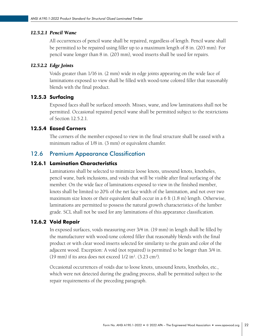#### <span id="page-26-0"></span>*12.5.2.1 Pencil Wane*

All occurrences of pencil wane shall be repaired, regardless of length. Pencil wane shall be permitted to be repaired using filler up to a maximum length of 8 in. (203 mm). For pencil wane longer than 8 in. (203 mm), wood inserts shall be used for repairs.

#### *12.5.2.2 Edge Joints*

Voids greater than 1/16 in. (2 mm) wide in edge joints appearing on the wide face of laminations exposed to view shall be filled with wood-tone colored filler that reasonably blends with the final product.

#### 12.5.3 Surfacing

Exposed faces shall be surfaced smooth. Misses, wane, and low laminations shall not be permitted. Occasional repaired pencil wane shall be permitted subject to the restrictions of Section 12.5.2.1.

#### 12.5.4 Eased Corners

The corners of the member exposed to view in the final structure shall be eased with a minimum radius of 1/8 in. (3 mm) or equivalent chamfer.

#### 12.6 Premium Appearance Classification

#### 12.6.1 Lamination Characteristics

Laminations shall be selected to minimize loose knots, unsound knots, knotholes, pencil wane, bark inclusions, and voids that will be visible after final surfacing of the member. On the wide face of laminations exposed to view in the finished member, knots shall be limited to 20% of the net face width of the lamination, and not over two maximum size knots or their equivalent shall occur in a 6 ft (1.8 m) length. Otherwise, laminations are permitted to possess the natural growth characteristics of the lumber grade. SCL shall not be used for any laminations of this appearance classification.

#### 12.6.2 Void Repair

In exposed surfaces, voids measuring over 3/4 in. (19 mm) in length shall be filled by the manufacturer with wood-tone colored filler that reasonably blends with the final product or with clear wood inserts selected for similarity to the grain and color of the adjacent wood. Exception: A void (not repaired) is permitted to be longer than 3/4 in. (19 mm) if its area does not exceed  $1/2$  in<sup>2</sup>. (3.23 cm<sup>2</sup>).

Occasional occurrences of voids due to loose knots, unsound knots, knotholes, etc., which were not detected during the grading process, shall be permitted subject to the repair requirements of the preceding paragraph.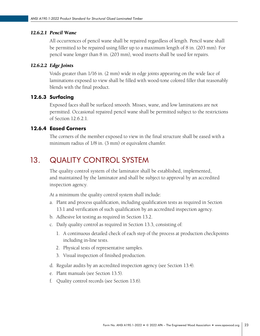#### <span id="page-27-0"></span>*12.6.2.1 Pencil Wane*

All occurrences of pencil wane shall be repaired regardless of length. Pencil wane shall be permitted to be repaired using filler up to a maximum length of 8 in. (203 mm). For pencil wane longer than 8 in. (203 mm), wood inserts shall be used for repairs.

#### *12.6.2.2 Edge Joints*

Voids greater than 1/16 in. (2 mm) wide in edge joints appearing on the wide face of laminations exposed to view shall be filled with wood-tone colored filler that reasonably blends with the final product.

#### 12.6.3 Surfacing

Exposed faces shall be surfaced smooth. Misses, wane, and low laminations are not permitted. Occasional repaired pencil wane shall be permitted subject to the restrictions of Section 12.6.2.1.

#### 12.6.4 Eased Corners

The corners of the member exposed to view in the final structure shall be eased with a minimum radius of 1/8 in. (3 mm) or equivalent chamfer.

# 13. QUALITY CONTROL SYSTEM

The quality control system of the laminator shall be established, implemented, and maintained by the laminator and shall be subject to approval by an accredited inspection agency.

At a minimum the quality control system shall include:

- a. Plant and process qualification, including qualification tests as required in Section 13.1 and verification of such qualification by an accredited inspection agency.
- b. Adhesive lot testing as required in Section 13.2.
- c. Daily quality control as required in Section 13.3, consisting of:
	- 1. A continuous detailed check of each step of the process at production checkpoints including in-line tests.
	- 2. Physical tests of representative samples.
	- 3. Visual inspection of finished production.
- d. Regular audits by an accredited inspection agency (see Section 13.4).
- e. Plant manuals (see Section 13.5).
- f. Quality control records (see Section 13.6).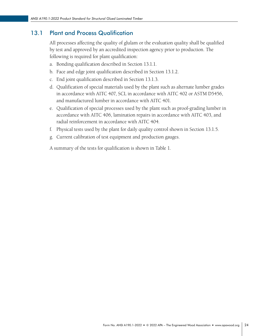# <span id="page-28-0"></span>13.1 Plant and Process Qualification

All processes affecting the quality of glulam or the evaluation quality shall be qualified by test and approved by an accredited inspection agency prior to production. The following is required for plant qualification:

- a. Bonding qualification described in Section 13.1.1.
- b. Face and edge joint qualification described in Section 13.1.2.
- c. End joint qualification described in Section 13.1.3.
- d. Qualification of special materials used by the plant such as alternate lumber grades in accordance with AITC 407, SCL in accordance with AITC 402 or ASTM D5456, and manufactured lumber in accordance with AITC 401.
- e. Qualification of special processes used by the plant such as proof-grading lumber in accordance with AITC 406, lamination repairs in accordance with AITC 403, and radial reinforcement in accordance with AITC 404.
- f. Physical tests used by the plant for daily quality control shown in Section 13.1.5.
- g. Current calibration of test equipment and production gauges.

A summary of the tests for qualification is shown in Table 1.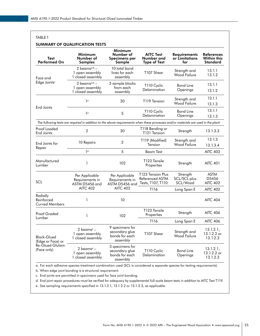#### TABLE 1

#### **SUMMARY OF QUALIFICATION TESTS**

| Test<br>Performed On                            | Minimum<br>Number of<br>Samples                                                                                                     | Minimum<br>Number of<br>Specimens per<br>Sample                 | <b>AITC Test</b><br>Number and<br><b>Type of Test</b>     | <b>Requirements</b><br>or Limitations<br>for | <b>References</b><br><b>Within this</b><br>Standard |
|-------------------------------------------------|-------------------------------------------------------------------------------------------------------------------------------------|-----------------------------------------------------------------|-----------------------------------------------------------|----------------------------------------------|-----------------------------------------------------|
| Face and                                        | 2 beams $a,b$ –<br>1 open assembly<br>1 closed assembly                                                                             | 10 total bond<br>lines for each<br>assembly                     | T107 Shear                                                | Strength and<br><b>Wood Failure</b>          | 13.1.1<br>13.1.2                                    |
| $Edge$ Joints <sup>c</sup>                      | 2 beams $a,b$ –<br>1 open assembly<br>1 closed assembly                                                                             | 3 sample blocks<br>from each<br>assembly                        | T110 Cyclic<br>Delamination                               | <b>Bond Line</b><br>Openings                 | 13.1.1<br>13.1.2                                    |
|                                                 | 1 <sup>a</sup>                                                                                                                      | 30                                                              | T119 Tension                                              | Strength and<br><b>Wood Failure</b>          | 13.1.1<br>13.1.3                                    |
| <b>End Joints</b>                               | 1 <sup>a</sup>                                                                                                                      | 5                                                               | T110 Cyclic<br>Delamination                               | <b>Bond Line</b><br>Openings                 | 13.1.1<br>13.1.3                                    |
|                                                 | The following tests are required in addition to the above requirements when these processes and/or materials are used in the plant. |                                                                 |                                                           |                                              |                                                     |
| Proof Loaded<br>End Joints                      | $\overline{2}$                                                                                                                      | 30                                                              | T118 Bending or<br>T121 Tension                           | Strength                                     | 13.1.3.3                                            |
| End Joints for                                  | 10 Repairs                                                                                                                          | $\overline{2}$                                                  | T119 (Modified)<br>Tension                                | Strength and<br><b>Wood Failure</b>          | 13.1.3<br>13.1.3.4                                  |
| Repair                                          | 1 <sub>d</sub>                                                                                                                      | 5<br><b>Beam Test</b>                                           | <b>AITC 403</b>                                           |                                              |                                                     |
| Manufactured<br>Lumber                          | 1                                                                                                                                   | 102                                                             | T123 Tensile<br>Properties                                | Strength                                     | <b>AITC 401</b>                                     |
| SCL                                             | Per Applicable<br>Requirements in<br>ASTM D5456 and                                                                                 | Per Applicable<br>Requirements in<br>ASTM D5456 and             | T123 Tension Plus<br>Referenced ASTM<br>Tests, T107, T110 | Strength<br>SCL/SCL plus<br>SCL/Wood         | <b>ASTM</b><br>D5456<br><b>AITC 402</b>             |
|                                                 | <b>AITC 402</b>                                                                                                                     | <b>AITC 402</b>                                                 | T116                                                      | Long Span E                                  | <b>AITC 402</b>                                     |
| Radially<br>Reinforced<br><b>Curved Members</b> | 1                                                                                                                                   | 10                                                              |                                                           |                                              | <b>AITC 404</b>                                     |
| <b>Proof Graded</b>                             | $\mathbf{1}$                                                                                                                        | 102                                                             | T123 Tensile<br>Properties                                | Strength                                     | <b>AITC 406</b>                                     |
| Lumber                                          |                                                                                                                                     |                                                                 | T116                                                      | Long Span E                                  | <b>AITC 406</b>                                     |
| <b>Block-Glued</b><br>(Edge or Face) or         | 2 beams <sup>e</sup> –<br>1 open assembly<br>1 closed assembly                                                                      | 9 specimens for<br>secondary glue<br>bonds for each<br>assembly | T107 Shear                                                | Strength and<br><b>Wood Failure</b>          | 13.1.2.1,<br>13.1.2.2 or<br>13.1.2.3                |
| <b>Re-Glued Glulam</b><br>(Face only)           | 2 beams <sup>e</sup> –<br>1 open assembly<br>1 closed assembly                                                                      | 3 specimens for<br>secondary glue<br>bonds for each<br>assembly | T110 Cyclic<br>Delamination                               | <b>Bond Line</b><br>Openings                 | 13.1.2.1,<br>13.1.2.2 or<br>13.1.2.3                |

a. For each adhesive-species-treatment combination used (SCL is considered a separate species for testing requirements).

b. When edge joint bonding is a structural requirement.

c. End joints are permitted in specimens used for face joint bonding.

d. End joint repair procedures must be verified for adequacy by supplemental full-scale beam tests in addition to AITC Test T119.

e. See sampling requirements specified in 13.1.2.1, 13.1.2.2 or 13.1.2.3, as applicable.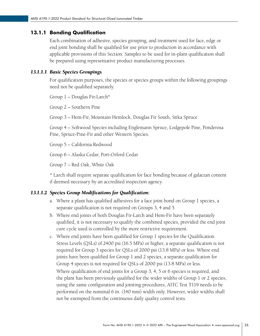#### 13.1.1 Bonding Qualification

Each combination of adhesive, species grouping, and treatment used for face, edge or end joint bonding shall be qualified for use prior to production in accordance with applicable provisions of this Section. Samples to be used for in-plant qualification shall be prepared using representative product manufacturing processes.

#### *13.1.1.1 Basic Species Groupings*

For qualification purposes, the species or species groups within the following groupings need not be qualified separately.

Group 1 – Douglas Fir-Larch\*

Group 2 – Southern Pine

Group 3 – Hem-Fir, Mountain Hemlock, Douglas Fir South, Sitka Spruce

Group 4 – Softwood Species including Englemann Spruce, Lodgepole Pine, Ponderosa Pine, Spruce-Pine-Fir and other Western Species.

Group 5 – California Redwood

Group 6 – Alaska Cedar, Port-Orford Cedar

Group 7 – Red Oak, White Oak

\* Larch shall require separate qualification for face bonding because of galactan content if deemed necessary by an accredited inspection agency.

#### *13.1.1.2 Species Group Modifications for Qualification:*

- a. Where a plant has qualified adhesives for a face joint bond on Group 1 species, a separate qualification is not required on Groups 3, 4 and 5.
- b. Where end joints of both Douglas Fir-Larch and Hem-Fir have been separately qualified, it is not necessary to qualify the combined species, provided the end joint cure cycle used is controlled by the more restrictive requirement.
- c. Where end joints have been qualified for Group 1 species for the Qualification Stress Levels (QSLs) of 2400 psi (16.5 MPa) or higher, a separate qualification is not required for Group 3 species for QSLs of 2000 psi (13.8 MPa) or less. Where end joints have been qualified for Group 1 and 2 species, a separate qualification for Group 4 species is not required for QSLs of 2000 psi (13.8 MPa) or less. Where qualification of end joints for a Group 3, 4, 5 or 6 species is required, and the plant has been previously qualified for the wider widths of Group 1 or 2 species, using the same configuration and jointing procedures, AITC Test T119 needs to be performed on the nominal 6 in. (140 mm) width only. However, wider widths shall not be exempted from the continuous daily quality control tests.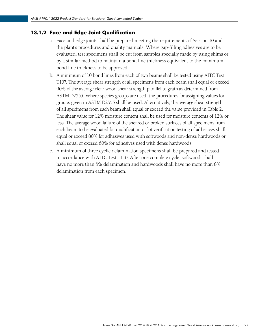#### 13.1.2 Face and Edge Joint Qualification

- a. Face and edge joints shall be prepared meeting the requirements of Section 10 and the plant's procedures and quality manuals. Where gap-filling adhesives are to be evaluated, test specimens shall be cut from samples specially made by using shims or by a similar method to maintain a bond line thickness equivalent to the maximum bond line thickness to be approved.
- b. A minimum of 10 bond lines from each of two beams shall be tested using AITC Test T107. The average shear strength of all specimens from each beam shall equal or exceed 90% of the average clear wood shear strength parallel to grain as determined from ASTM D2555. Where species groups are used, the procedures for assigning values for groups given in ASTM D2555 shall be used. Alternatively, the average shear strength of all specimens from each beam shall equal or exceed the value provided in Table 2. The shear value for 12% moisture content shall be used for moisture contents of 12% or less. The average wood failure of the sheared or broken surfaces of all specimens from each beam to be evaluated for qualification or lot verification testing of adhesives shall equal or exceed 80% for adhesives used with softwoods and non-dense hardwoods or shall equal or exceed 60% for adhesives used with dense hardwoods.
- c. A minimum of three cyclic delamination specimens shall be prepared and tested in accordance with AITC Test T110. After one complete cycle, softwoods shall have no more than 5% delamination and hardwoods shall have no more than 8% delamination from each specimen.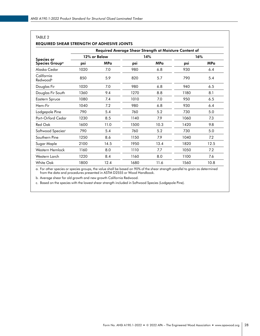| TABLE <sub>2</sub>                                |      |                                                        |      |            |      |            |  |
|---------------------------------------------------|------|--------------------------------------------------------|------|------------|------|------------|--|
| <b>REQUIRED SHEAR STRENGTH OF ADHESIVE JOINTS</b> |      |                                                        |      |            |      |            |  |
|                                                   |      | Required Average Shear Strength at Moisture Content of |      |            |      |            |  |
| <b>Species or</b>                                 |      | 12% or Below                                           |      | 14%        |      | 16%        |  |
| Species Group <sup>a</sup>                        | psi  | <b>MPa</b>                                             | psi  | <b>MPa</b> | psi  | <b>MPa</b> |  |
| Alaska Cedar                                      | 1020 | 7.0                                                    | 980  | 6.8        | 930  | 6.4        |  |
| California<br>Redwoodb                            | 850  | 5.9                                                    | 820  | 5.7        | 790  | 5.4        |  |
| Douglas Fir                                       | 1020 | 7.0                                                    | 980  | 6.8        | 940  | 6.5        |  |
| Douglas Fir South                                 | 1360 | 9.4                                                    | 1270 | 8.8        | 1180 | 8.1        |  |
| Eastern Spruce                                    | 1080 | 7.4                                                    | 1010 | 7.0        | 950  | 6.5        |  |
| Hem-Fir                                           | 1040 | 7.2                                                    | 980  | 6.8        | 930  | 6.4        |  |
| Lodgepole Pine                                    | 790  | 5.4                                                    | 760  | 5.2        | 730  | 5.0        |  |
| Port-Orford Cedar                                 | 1230 | 8.5                                                    | 1140 | 7.9        | 1060 | 7.3        |  |
| Red Oak                                           | 1600 | 11.0                                                   | 1500 | 10.3       | 1420 | 9.8        |  |
| Softwood Species <sup>c</sup>                     | 790  | 5.4                                                    | 760  | 5.2        | 730  | 5.0        |  |
| Southern Pine                                     | 1250 | 8.6                                                    | 1150 | 7.9        | 1040 | 7.2        |  |
| Sugar Maple                                       | 2100 | 14.5                                                   | 1950 | 13.4       | 1820 | 12.5       |  |
| Western Hemlock                                   | 1160 | 8.0                                                    | 1110 | 7.7        | 1050 | 7.2        |  |
| Western Larch                                     | 1220 | 8.4                                                    | 1160 | 8.0        | 1100 | 7.6        |  |
| <b>White Oak</b>                                  | 1800 | 12.4                                                   | 1680 | 11.6       | 1560 | 10.8       |  |

a. For other species or species groups, the value shall be based on 90% of the shear strength parallel to grain as determined from the data and procedures presented in ASTM D2555 or Wood Handbook.

b. Average shear for old growth and new growth California Redwood.

c. Based on the species with the lowest shear strength included in Softwood Species (Lodgepole Pine).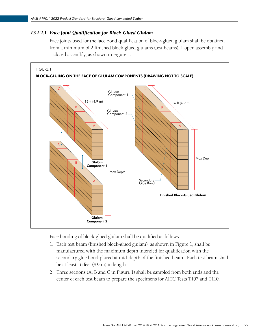#### *13.1.2.1 Face Joint Qualification for Block-Glued Glulam*

Face joints used for the face bond qualification of block-glued glulam shall be obtained from a minimum of 2 finished block-glued glulams (test beams), 1 open assembly and 1 closed assembly, as shown in Figure 1.



Face bonding of block-glued glulam shall be qualified as follows:

- 1. Each test beam (finished block-glued glulam), as shown in Figure 1, shall be manufactured with the maximum depth intended for qualification with the secondary glue bond placed at mid-depth of the finished beam. Each test beam shall be at least 16 feet (4.9 m) in length.
- 2. Three sections (A, B and C in Figure 1) shall be sampled from both ends and the center of each test beam to prepare the specimens for AITC Tests T107 and T110.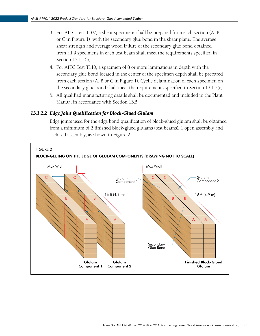- 3. For AITC Test T107, 3 shear specimens shall be prepared from each section (A, B or C in Figure 1) with the secondary glue bond in the shear plane. The average shear strength and average wood failure of the secondary glue bond obtained from all 9 specimens in each test beam shall meet the requirements specified in Section 13.1.2(b).
- 4. For AITC Test T110, a specimen of 8 or more laminations in depth with the secondary glue bond located in the center of the specimen depth shall be prepared from each section (A, B or C in Figure 1). Cyclic delamination of each specimen on the secondary glue bond shall meet the requirements specified in Section 13.1.2(c).
- 5. All qualified manufacturing details shall be documented and included in the Plant Manual in accordance with Section 13.5.

#### *13.1.2.2 Edge Joint Qualification for Block-Glued Glulam*

Edge joints used for the edge bond qualification of block-glued glulam shall be obtained from a minimum of 2 finished block-glued glulams (test beams), 1 open assembly and 1 closed assembly, as shown in Figure 2.

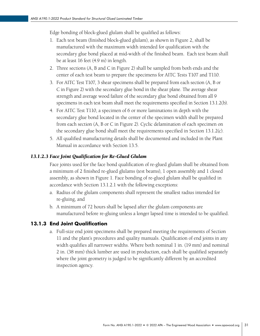Edge bonding of block-glued glulam shall be qualified as follows:

- 1. Each test beam (finished block-glued glulam), as shown in Figure 2, shall be manufactured with the maximum width intended for qualification with the secondary glue bond placed at mid-width of the finished beam. Each test beam shall be at least 16 feet (4.9 m) in length.
- 2. Three sections (A, B and C in Figure 2) shall be sampled from both ends and the center of each test beam to prepare the specimens for AITC Tests T107 and T110.
- 3. For AITC Test T107, 3 shear specimens shall be prepared from each section (A, B or C in Figure 2) with the secondary glue bond in the shear plane. The average shear strength and average wood failure of the secondary glue bond obtained from all 9 specimens in each test beam shall meet the requirements specified in Section 13.1.2(b).
- 4. For AITC Test T110, a specimen of 6 or more laminations in depth with the secondary glue bond located in the center of the specimen width shall be prepared from each section (A, B or C in Figure 2). Cyclic delamination of each specimen on the secondary glue bond shall meet the requirements specified in Section 13.1.2(c).
- 5. All qualified manufacturing details shall be documented and included in the Plant Manual in accordance with Section 13.5.

#### *13.1.2.3 Face Joint Qualification for Re-Glued Glulam*

Face joints used for the face bond qualification of re-glued glulam shall be obtained from a minimum of 2 finished re-glued glulams (test beams), 1 open assembly and 1 closed assembly, as shown in Figure 1. Face bonding of re-glued glulam shall be qualified in accordance with Section 13.1.2.1 with the following exceptions:

- a. Radius of the glulam components shall represent the smallest radius intended for re-gluing, and
- b. A minimum of 72 hours shall be lapsed after the glulam components are manufactured before re-gluing unless a longer lapsed time is intended to be qualified.

#### 13.1.3 End Joint Qualification

a. Full-size end joint specimens shall be prepared meeting the requirements of Section 11 and the plant's procedures and quality manuals. Qualification of end joints in any width qualifies all narrower widths. Where both nominal 1 in. (19 mm) and nominal 2 in. (38 mm) thick lumber are used in production, each shall be qualified separately where the joint geometry is judged to be significantly different by an accredited inspection agency.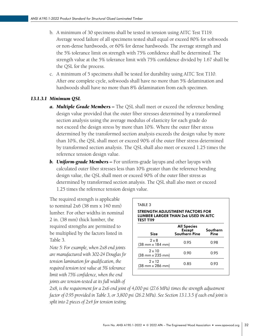- b. A minimum of 30 specimens shall be tested in tension using AITC Test T119. Average wood failure of all specimens tested shall equal or exceed 80% for softwoods or non-dense hardwoods, or 60% for dense hardwoods. The average strength and the 5% tolerance limit on strength with 75% confidence shall be determined. The strength value at the 5% tolerance limit with 75% confidence divided by 1.67 shall be the QSL for the process.
- c. A minimum of 5 specimens shall be tested for durability using AITC Test T110. After one complete cycle, softwoods shall have no more than 5% delamination and hardwoods shall have no more than 8% delamination from each specimen.

#### *13.1.3.1 Minimum QSL*

- *a. Multiple Grade Members* The QSL shall meet or exceed the reference bending design value provided that the outer fiber stresses determined by a transformed section analysis using the average modulus of elasticity for each grade do not exceed the design stress by more than 10%. Where the outer fiber stress determined by the transformed section analysis exceeds the design value by more than 10%, the QSL shall meet or exceed 90% of the outer fiber stress determined by transformed section analysis. The QSL shall also meet or exceed 1.25 times the reference tension design value.
- *b. Uniform-grade Members* For uniform-grade layups and other layups with calculated outer fiber stresses less than 10% greater than the reference bending design value, the QSL shall meet or exceed 90% of the outer fiber stress as determined by transformed section analysis. The QSL shall also meet or exceed 1.25 times the reference tension design value.

The required strength is applicable to nominal 2x6 (38 mm x 140 mm) lumber. For other widths in nominal 2 in. (38 mm) thick lumber, the required strengths are permitted to be multiplied by the factors listed in Table 3.

*Note 5: For example, when 2x8 end joints are manufactured with 302-24 Douglas fir tension lamination for qualification, the required tension test value at 5% tolerance limit with 75% confidence, when the end joints are tension-tested at its full width of* 

| <b>STRENGTH ADJUSTMENT FACTORS FOR</b><br><b>LUMBER LARGER THAN 2x6 USED IN AITC</b><br>TEST T119 |                                                             |                  |  |
|---------------------------------------------------------------------------------------------------|-------------------------------------------------------------|------------------|--|
| Size                                                                                              | <b>All Species</b><br><b>Except</b><br><b>Southern Pine</b> | Southern<br>Pine |  |
| $2 \times 8$<br>(38 mm x 184 mm)                                                                  | 0.95                                                        | 0.98             |  |
| $2 \times 10$<br>(38 mm x 235 mm)                                                                 | 0.90                                                        | 0.95             |  |
| $2 \times 12$<br>(38 mm x 286 mm)                                                                 | 0.85                                                        | 0.93             |  |

*2x8, is the requirement for a 2x6 end joint of 4,000 psi (27.6 MPa) times the strength adjustment factor of 0.95 provided in Table 3, or 3,800 psi (26.2 MPa). See Section 13.1.3.5 if each end joint is split into 2 pieces of 2x4 for tension testing.*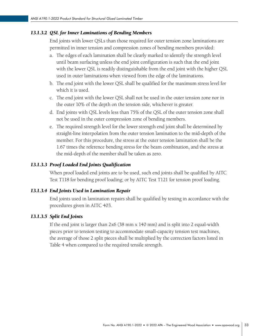#### *13.1.3.2 QSL for Inner Laminations of Bending Members*

End joints with lower QSLs than those required for outer tension zone laminations are permitted in inner tension and compression zones of bending members provided:

- a. The edges of each lamination shall be clearly marked to identify the strength level until beam surfacing unless the end joint configuration is such that the end joint with the lower QSL is readily distinguishable from the end joint with the higher QSL used in outer laminations when viewed from the edge of the laminations.
- b. The end joint with the lower QSL shall be qualified for the maximum stress level for which it is used.
- c. The end joint with the lower QSL shall not be used in the outer tension zone nor in the outer 10% of the depth on the tension side, whichever is greater.
- d. End joints with QSL levels less than 75% of the QSL of the outer tension zone shall not be used in the outer compression zone of bending members.
- e. The required strength level for the lower strength end joint shall be determined by straight-line interpolation from the outer tension lamination to the mid-depth of the member. For this procedure, the stress at the outer tension lamination shall be the 1.67 times the reference bending stress for the beam combination, and the stress at the mid-depth of the member shall be taken as zero.

#### *13.1.3.3 Proof Loaded End Joints Qualification*

When proof loaded end joints are to be used, such end joints shall be qualified by AITC Test T118 for bending proof loading; or by AITC Test T121 for tension proof loading.

#### *13.1.3.4 End Joints Used in Lamination Repair*

End joints used in lamination repairs shall be qualified by testing in accordance with the procedures given in AITC 403.

#### *13.1.3.5 Split End Joints*

If the end joint is larger than 2x6 (38 mm x 140 mm) and is split into 2 equal-width pieces prior to tension testing to accommodate small-capacity tension test machines, the average of those 2 split pieces shall be multiplied by the correction factors listed in Table 4 when compared to the required tensile strength.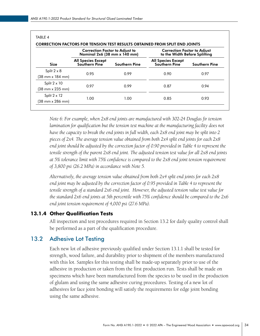<span id="page-38-0"></span>

|                                             | <b>Correction Factor to Adjust to</b><br>Nominal 2x6 (38 mm x 140 mm) |                      | <b>Correction Factor to Adjust</b><br>to the Width Before Splitting |                      |
|---------------------------------------------|-----------------------------------------------------------------------|----------------------|---------------------------------------------------------------------|----------------------|
| <b>Size</b>                                 | <b>All Species Except</b><br>Southern Pine                            | <b>Southern Pine</b> | <b>All Species Except</b><br>Southern Pine                          | <b>Southern Pine</b> |
| Split $2 \times 8$                          | 0.95                                                                  | 0.99                 | 0.90                                                                | 0.97                 |
| (38 mm x 184 mm)                            |                                                                       |                      |                                                                     |                      |
| Split $2 \times 10$                         | 0.97                                                                  |                      |                                                                     |                      |
| (38 mm x 235 mm)                            |                                                                       | 0.99                 | 0.87                                                                | 0.94                 |
| Split $2 \times 12$                         |                                                                       |                      |                                                                     |                      |
| $(38 \, \text{mm} \times 286 \, \text{mm})$ | 1.00                                                                  | 1.00                 | 0.85                                                                | 0.93                 |

*Note 6: For example, when 2x8 end joints are manufactured with 302-24 Douglas fir tension lamination for qualification but the tension test machine at the manufacturing facility does not have the capacity to break the end joints in full width, each 2x8 end joint may be split into 2 pieces of 2x4. The average tension value obtained from both 2x4 split end joints for each 2x8 end joint should be adjusted by the correction factor of 0.90 provided in Table 4 to represent the tensile strength of the parent 2x8 end joint. The adjusted tension test value for all 2x8 end joints at 5% tolerance limit with 75% confidence is compared to the 2x8 end joint tension requirement of 3,800 psi (26.2 MPa) in accordance with Note 5.*

*Alternatively, the average tension value obtained from both 2x4 split end joints for each 2x8 end joint may be adjusted by the correction factor of 0.95 provided in Table 4 to represent the tensile strength of a standard 2x6 end joint. However, the adjusted tension value test value for the standard 2x6 end joints at 5th percentile with 75% confidence should be compared to the 2x6 end joint tension requirement of 4,000 psi (27.6 MPa).*

#### 13.1.4 Other Qualification Tests

All inspection and test procedures required in Section 13.2 for daily quality control shall be performed as a part of the qualification procedure.

### 13.2 Adhesive Lot Testing

Each new lot of adhesive previously qualified under Section 13.1.1 shall be tested for strength, wood failure, and durability prior to shipment of the members manufactured with this lot. Samples for this testing shall be made-up separately prior to use of the adhesive in production or taken from the first production run. Tests shall be made on specimens which have been manufactured from the species to be used in the production of glulam and using the same adhesive curing procedures. Testing of a new lot of adhesives for face joint bonding will satisfy the requirements for edge joint bonding using the same adhesive.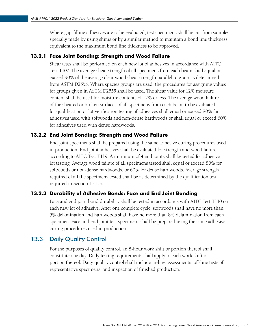<span id="page-39-0"></span>Where gap-filling adhesives are to be evaluated, test specimens shall be cut from samples specially made by using shims or by a similar method to maintain a bond line thickness equivalent to the maximum bond line thickness to be approved.

#### 13.2.1 Face Joint Bonding: Strength and Wood Failure

Shear tests shall be performed on each new lot of adhesives in accordance with AITC Test T107. The average shear strength of all specimens from each beam shall equal or exceed 90% of the average clear wood shear strength parallel to grain as determined from ASTM D2555. Where species groups are used, the procedures for assigning values for groups given in ASTM D2555 shall be used. The shear value for 12% moisture content shall be used for moisture contents of 12% or less. The average wood failure of the sheared or broken surfaces of all specimens from each beam to be evaluated for qualification or lot verification testing of adhesives shall equal or exceed 80% for adhesives used with softwoods and non-dense hardwoods or shall equal or exceed 60% for adhesives used with dense hardwoods.

#### 13.2.2 End Joint Bonding: Strength and Wood Failure

End joint specimens shall be prepared using the same adhesive curing procedures used in production. End joint adhesives shall be evaluated for strength and wood failure according to AITC Test T119. A minimum of 4 end joints shall be tested for adhesive lot testing. Average wood failure of all specimens tested shall equal or exceed 80% for softwoods or non-dense hardwoods, or 60% for dense hardwoods. Average strength required of all the specimens tested shall be as determined by the qualification test required in Section 13.1.3.

#### 13.2.3 Durability of Adhesive Bonds: Face and End Joint Bonding

Face and end joint bond durability shall be tested in accordance with AITC Test T110 on each new lot of adhesive. After one complete cycle, softwoods shall have no more than 5% delamination and hardwoods shall have no more than 8% delamination from each specimen. Face and end joint test specimens shall be prepared using the same adhesive curing procedures used in production.

### 13.3 Daily Quality Control

For the purposes of quality control, an 8-hour work shift or portion thereof shall constitute one day. Daily testing requirements shall apply to each work shift or portion thereof. Daily quality control shall include in-line assessments, off-line tests of representative specimens, and inspection of finished production.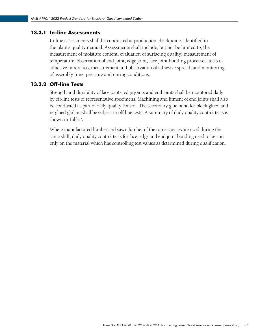#### 13.3.1 In-line Assessments

In-line assessments shall be conducted at production checkpoints identified in the plant's quality manual. Assessments shall include, but not be limited to, the measurement of moisture content; evaluation of surfacing quality; measurement of temperature; observation of end joint, edge joint, face joint bonding processes; tests of adhesive mix ratios; measurement and observation of adhesive spread; and monitoring of assembly time, pressure and curing conditions.

#### 13.3.2 Off-line Tests

Strength and durability of face joints, edge joints and end joints shall be monitored daily by off-line tests of representative specimens. Machining and fitment of end joints shall also be conducted as part of daily quality control. The secondary glue bond for block-glued and re-glued glulam shall be subject to off-line tests. A summary of daily quality control tests is shown in Table 5.

Where manufactured lumber and sawn lumber of the same species are used during the same shift, daily quality control tests for face, edge and end joint bonding need to be run only on the material which has controlling test values as determined during qualification.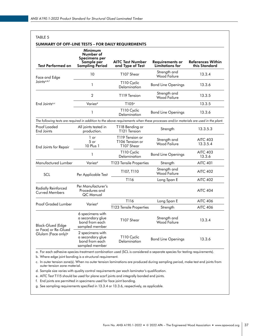| TABLE 5<br>SUMMARY OF OFF-LINE TESTS – FOR DAILY REQUIREMENTS |                                                                                      |                                                                                                                                     |                                                  |                                           |
|---------------------------------------------------------------|--------------------------------------------------------------------------------------|-------------------------------------------------------------------------------------------------------------------------------------|--------------------------------------------------|-------------------------------------------|
| <b>Test Performed on</b>                                      | Minimum<br>Number of<br><b>Specimens per</b><br>Sample per<br><b>Sampling Period</b> | <b>AITC Test Number</b><br>and Type of Test                                                                                         | <b>Requirements or</b><br><b>Limitations for</b> | <b>References Within</b><br>this Standard |
| Face and Edge                                                 | 10                                                                                   | T107 Shear                                                                                                                          | Strength and<br><b>Wood Failure</b>              | 13.3.4                                    |
| Joints <sup>a,b,f</sup>                                       | $\mathbf{1}$                                                                         | T110 Cyclic<br>Delamination                                                                                                         | <b>Bond Line Openings</b>                        | 13.3.6                                    |
|                                                               | $\overline{2}$                                                                       | T119 Tension                                                                                                                        | Strength and<br><b>Wood Failure</b>              | 13.3.5                                    |
| End Joints <sup>a,c</sup>                                     | Varies <sup>d</sup>                                                                  | T105 <sup>e</sup>                                                                                                                   |                                                  | 13.3.5                                    |
|                                                               | $\mathbf{1}$                                                                         | T110 Cyclic<br>Delamination                                                                                                         | <b>Bond Line Openings</b>                        | 13.3.6                                    |
|                                                               |                                                                                      | The following tests are required in addition to the above requirements when these processes and/or materials are used in the plant. |                                                  |                                           |
| Proof Loaded<br>End Joints                                    | All joints tested in<br>production.                                                  | T118 Bending or<br>T121 Tension                                                                                                     | Strength                                         | 13.3.5.3                                  |
| End Joints for Repair                                         | 1 or<br>5 or<br>10 Plus 1                                                            | T119 Tension or<br>T106 Tension or<br>T107 Shear                                                                                    | Strength and<br><b>Wood Failure</b>              | <b>AITC 403</b><br>13.3.5.4               |
|                                                               | 1                                                                                    | T110 Cyclic<br>Delamination                                                                                                         | <b>Bond Line Openings</b>                        | <b>AITC 403</b><br>13.3.6                 |
| Manufactured Lumber                                           | Varies <sup>d</sup>                                                                  | T123 Tensile Properties                                                                                                             | Strength                                         | <b>AITC 401</b>                           |
| SCL                                                           | Per Applicable Test                                                                  | T107, T110                                                                                                                          | Strength and<br><b>Wood Failure</b>              | <b>AITC 402</b>                           |
|                                                               |                                                                                      | T116                                                                                                                                | Long Span E                                      | <b>AITC 402</b>                           |
| Radially Reinforced<br><b>Curved Members</b>                  | Per Manufacturer's<br>Procedures and<br>QC Manual                                    |                                                                                                                                     |                                                  | <b>AITC 404</b>                           |
|                                                               |                                                                                      | T <sub>116</sub>                                                                                                                    | Long Span E                                      | <b>AITC 406</b>                           |
| Proof Graded Lumber                                           | Varies <sup>d</sup>                                                                  | T123 Tensile Properties                                                                                                             | Strength                                         | <b>AITC 406</b>                           |
| Block-Glued (Edge                                             | 6 specimens with<br>a secondary glue<br>bond from each<br>sampled member             | T107 Shear                                                                                                                          | Strength and<br><b>Wood Failure</b>              | 13.3.4                                    |
| or Face) or Re-Glued<br>Glulam (Face only) <sup>9</sup>       | 2 specimens with<br>a secondary alue<br>bond from each<br>sampled member             | T <sub>110</sub> Cyclic<br>Delamination                                                                                             | <b>Bond Line Openings</b>                        | 13.3.6                                    |

a. For each adhesive-species-treatment combination used (SCL is considered a separate species for testing requirements).

b. Where edge joint bonding is a structural requirement.

c. In outer tension zone(s). When no outer tension laminations are produced during sampling period, make test end joints from outer tension zone material.

d. Sample size varies with quality control requirements per each laminator's qualification.

e. AITC Test T115 should be used for plane scarf joints and integrally bonded end joints.

f. End joints are permitted in specimens used for face joint bonding.

g. See sampling requirements specified in 13.3.4 or 13.3.6, respectively, as applicable.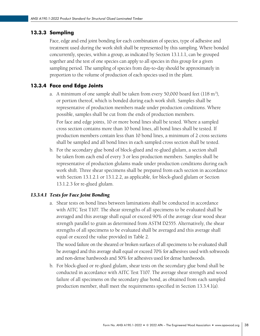#### 13.3.3 Sampling

Face, edge and end joint bonding for each combination of species, type of adhesive and treatment used during the work shift shall be represented by this sampling. Where bonded concurrently, species, within a group, as indicated by Section 13.1.1.1, can be grouped together and the test of one species can apply to all species in this group for a given sampling period. The sampling of species from day-to-day should be approximately in proportion to the volume of production of each species used in the plant.

#### 13.3.4 Face and Edge Joints

- a. A minimum of one sample shall be taken from every 50,000 board feet  $(118 \text{ m}^3)$ , or portion thereof, which is bonded during each work shift. Samples shall be representative of production members made under production conditions. Where possible, samples shall be cut from the ends of production members. For face and edge joints, 10 or more bond lines shall be tested. Where a sampled cross section contains more than 10 bond lines, all bond lines shall be tested. If production members contain less than 10 bond lines, a minimum of 2 cross sections shall be sampled and all bond lines in each sampled cross section shall be tested.
- b. For the secondary glue bond of block-glued and re-glued glulam, a section shall be taken from each end of every 3 or less production members. Samples shall be representative of production glulams made under production conditions during each work shift. Three shear specimens shall be prepared from each section in accordance with Section 13.1.2.1 or 13.1.2.2, as applicable, for block-glued glulam or Section 13.1.2.3 for re-glued glulam.

#### *13.3.4.1 Tests for Face Joint Bonding*

a. Shear tests on bond lines between laminations shall be conducted in accordance with AITC Test T107. The shear strengths of all specimens to be evaluated shall be averaged and this average shall equal or exceed 90% of the average clear wood shear strength parallel to grain as determined from ASTM D2555. Alternatively, the shear strengths of all specimens to be evaluated shall be averaged and this average shall equal or exceed the value provided in Table 2.

The wood failure on the sheared or broken surfaces of all specimens to be evaluated shall be averaged and this average shall equal or exceed 70% for adhesives used with softwoods and non-dense hardwoods and 50% for adhesives used for dense hardwoods.

b. For block-glued or re-glued glulam, shear tests on the secondary glue bond shall be conducted in accordance with AITC Test T107. The average shear strength and wood failure of all specimens on the secondary glue bond, as obtained from each sampled production member, shall meet the requirements specified in Section 13.3.4.1(a).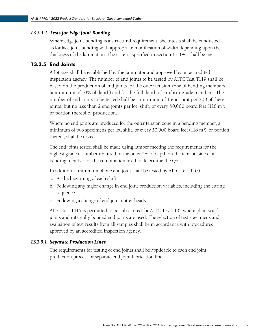#### *13.3.4.2 Tests for Edge Joint Bonding*

Where edge joint bonding is a structural requirement, shear tests shall be conducted as for face joint bonding with appropriate modification of width depending upon the thickness of the lamination. The criteria specified in Section 13.3.4.1 shall be met.

#### 13.3.5 End Joints

A lot size shall be established by the laminator and approved by an accredited inspection agency. The number of end joints to be tested by AITC Test T119 shall be based on the production of end joints for the outer tension zone of bending members (a minimum of 10% of depth) and for the full depth of uniform-grade members. The number of end joints to be tested shall be a minimum of 1 end joint per 200 of these joints, but no less than 2 end joints per lot, shift, or every 50,000 board feet (118 m<sup>3</sup>) or portion thereof of production.

Where no end joints are produced for the outer tension zone in a bending member, a minimum of two specimens per lot, shift, or every 50,000 board feet (118 m<sup>3</sup>), or portion thereof, shall be tested.

The end joints tested shall be made using lumber meeting the requirements for the highest grade of lumber required in the outer 5% of depth on the tension side of a bending member for the combination used to determine the QSL.

In addition, a minimum of one end joint shall be tested by AITC Test T105:

- a. At the beginning of each shift.
- b. Following any major change in end joint production variables, including the curing sequence.
- c. Following a change of end joint cutter heads.

AITC Test T115 is permitted to be substituted for AITC Test T105 where plain scarf joints and integrally bonded end joints are used. The selection of test specimens and evaluation of test results from all samples shall be in accordance with procedures approved by an accredited inspection agency.

#### *13.3.5.1 Separate Production Lines*

The requirements for testing of end joints shall be applicable to each end joint production process or separate end joint fabrication line.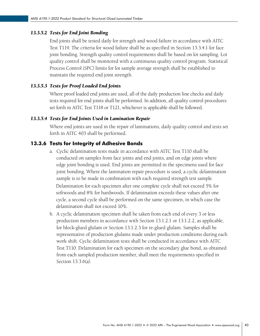#### *13.3.5.2 Tests for End Joint Bonding*

End joints shall be tested daily for strength and wood failure in accordance with AITC Test T119. The criteria for wood failure shall be as specified in Section 13.3.4.1 for face joint bonding. Strength quality control requirements shall be based on lot sampling. Lot quality control shall be monitored with a continuous quality control program. Statistical Process Control (SPC) limits for lot sample average strength shall be established to maintain the required end joint strength.

#### *13.3.5.3 Tests for Proof Loaded End Joints*

Where proof loaded end joints are used, all of the daily production line checks and daily tests required for end joints shall be performed. In addition, all quality control procedures set forth in AITC Test T118 or T121, whichever is applicable shall be followed.

#### *13.3.5.4 Tests for End Joints Used in Lamination Repair*

Where end joints are used in the repair of laminations, daily quality control and tests set forth in AITC 403 shall be performed.

#### 13.3.6 Tests for Integrity of Adhesive Bonds

a. Cyclic delamination tests made in accordance with AITC Test T110 shall be conducted on samples from face joints and end joints, and on edge joints where edge joint bonding is used. End joints are permitted in the specimens used for face joint bonding. Where the lamination repair procedure is used, a cyclic delamination sample is to be made in combination with each required strength test sample. Delamination for each specimen after one complete cycle shall not exceed 5% for

softwoods and 8% for hardwoods. If delamination exceeds these values after one cycle, a second cycle shall be performed on the same specimen, in which case the delamination shall not exceed 10%.

b. A cyclic delamination specimen shall be taken from each end of every 3 or less production members in accordance with Section 13.1.2.1 or 13.1.2.2, as applicable, for block-glued glulam or Section 13.1.2.3 for re-glued glulam. Samples shall be representative of production glulams made under production conditions during each work shift. Cyclic delamination tests shall be conducted in accordance with AITC Test T110. Delamination for each specimen on the secondary glue bond, as obtained from each sampled production member, shall meet the requirements specified in Section 13.3.6(a).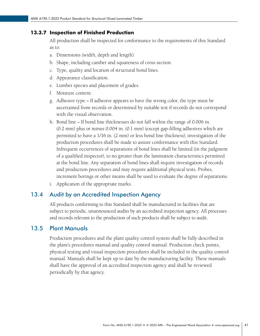#### <span id="page-45-0"></span>13.3.7 Inspection of Finished Production

All production shall be inspected for conformance to the requirements of this Standard as to:

- a. Dimensions (width, depth and length).
- b. Shape, including camber and squareness of cross section.
- c. Type, quality and location of structural bond lines.
- d. Appearance classification.
- e. Lumber species and placement of grades.
- f. Moisture content.
- g. Adhesive type If adhesive appears to have the wrong color, the type must be ascertained from records or determined by suitable test if records do not correspond with the visual observation.
- h. Bond line If bond line thicknesses do not fall within the range of 0.006 in. (0.2 mm) plus or minus 0.004 in. (0.1 mm) (except gap-filling adhesives which are permitted to have a 1/16 in. (2 mm) or less bond line thickness), investigation of the production procedures shall be made to assure conformance with this Standard. Infrequent occurrences of separations of bond lines shall be limited (in the judgment of a qualified inspector), to no greater than the lamination characteristics permitted at the bond line. Any separation of bond lines shall require investigation of records and production procedures and may require additional physical tests. Probes, increment borings or other means shall be used to evaluate the degree of separations.
- i. Application of the appropriate marks.

#### 13.4 Audit by an Accredited Inspection Agency

All products conforming to this Standard shall be manufactured in facilities that are subject to periodic, unannounced audits by an accredited inspection agency. All processes and records relevant to the production of such products shall be subject to audit.

#### 13.5 Plant Manuals

Production procedures and the plant quality control system shall be fully described in the plant's procedures manual and quality control manual. Production check points, physical testing and visual inspection procedures shall be included in the quality control manual. Manuals shall be kept up to date by the manufacturing facility. These manuals shall have the approval of an accredited inspection agency and shall be reviewed periodically by that agency.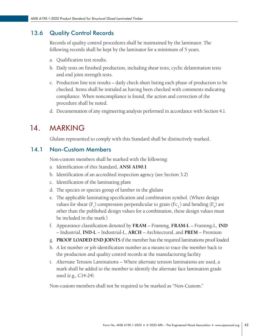# <span id="page-46-0"></span>13.6 Quality Control Records

Records of quality control procedures shall be maintained by the laminator. The following records shall be kept by the laminator for a minimum of 5 years.

- a. Qualification test results.
- b. Daily tests on finished production, including shear tests, cyclic delamination tests and end joint strength tests.
- c. Production line test results daily check sheet listing each phase of production to be checked. Items shall be initialed as having been checked with comments indicating compliance. When noncompliance is found, the action and correction of the procedure shall be noted.
- d. Documentation of any engineering analysis performed in accordance with Section 4.1.

# 14. MARKING

Glulam represented to comply with this Standard shall be distinctively marked..

# 14.1 Non-Custom Members

Non-custom members shall be marked with the following:

- a. Identification of this Standard, **ANSI A190.1**
- b. Identification of an accredited inspection agency (see Section 3.2)
- c. Identification of the laminating plant
- d. The species or species group of lumber in the glulam
- e. The applicable laminating specification and combination symbol. (Where design values for shear (F<sub>v</sub>) compression perpendicular to grain (Fc<sub>⊥</sub>) and bending (F<sub>b</sub>) are other than the published design values for a combination, these design values must be included in the mark.)
- f. Appearance classification denoted by **FRAM** Framing, **FRAM-L** Framing-L, **IND**  – Industrial, **IND-L** – Industrial-L, **ARCH** – Architectural, and **PREM** – Premium
- g. **PROOF LOADED END JOINTS** if the member has the required laminations proof loaded
- h. A lot number or job identification number as a means to trace the member back to the production and quality control records at the manufacturing facility
- i. Alternate Tension Laminations Where alternate tension laminations are used, a mark shall be added to the member to identify the alternate face lamination grade used (e.g., C14-24).

Non-custom members shall not be required to be marked as "Non-Custom."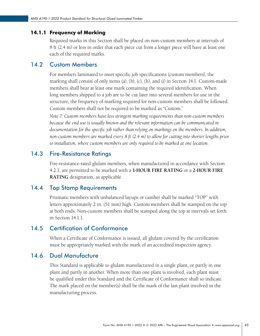#### <span id="page-47-0"></span>14.1.1 Frequency of Marking

Required marks in this Section shall be placed on non-custom members at intervals of 8 ft (2.4 m) or less in order that each piece cut from a longer piece will have at least one each of the required marks.

### 14.2 Custom Members

For members laminated to meet specific job specifications (custom members), the marking shall consist of only items (a), (b), (c), (h), and (i) in Section 14.1. Custom-made members shall bear at least one mark containing the required identification. When long members shipped to a job are to be cut later into several members for use in the structure, the frequency of marking required for non-custom members shall be followed. Custom members shall not be required to be marked as "Custom."

*Note 7: Custom members have less stringent marking requirements than non-custom members because the end use is usually known and the relevant information can be communicated in documentation for the specific job rather than relying on markings on the members. In addition, non-custom members are marked every 8 ft (2.4 m) to allow for cutting into shorter lengths prior to installation, where custom members are only required to be marked at one location.*

### 14.3 Fire-Resistance Ratings

Fire-resistance-rated glulam members, when manufactured in accordance with Section 4.2.1, are permitted to be marked with a **1-HOUR FIRE RATING** or a **2-HOUR FIRE RATING** designation, as applicable.

#### 14.4 Top Stamp Requirements

Prismatic members with unbalanced layups or camber shall be marked "TOP" with letters approximately 2 in. (51 mm) high. Custom members shall be stamped on the top at both ends. Non-custom members shall be stamped along the top at intervals set forth in Section 14.1.1.

### 14.5 Certification of Conformance

When a Certificate of Conformance is issued, all glulam covered by the certification must be appropriately marked with the mark of an accredited inspection agency.

#### 14.6 Dual Manufacture

This Standard is applicable to glulam manufactured in a single plant, or partly in one plant and partly in another. When more than one plant is involved, each plant must be qualified under this Standard and the Certificate of Conformance shall so indicate. The mark placed on the member(s) shall be the mark of the last plant involved in the manufacturing process.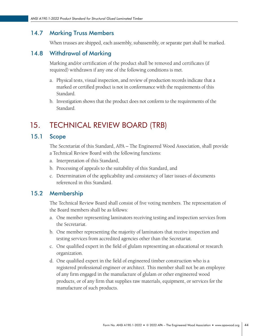### <span id="page-48-0"></span>14.7 Marking Truss Members

When trusses are shipped, each assembly, subassembly, or separate part shall be marked.

### 14.8 Withdrawal of Marking

Marking and/or certification of the product shall be removed and certificates (if required) withdrawn if any one of the following conditions is met.

- a. Physical tests, visual inspection, and review of production records indicate that a marked or certified product is not in conformance with the requirements of this Standard.
- b. Investigation shows that the product does not conform to the requirements of the Standard.

# 15. TECHNICAL REVIEW BOARD (TRB)

# 15.1 Scope

The Secretariat of this Standard, APA – The Engineered Wood Association, shall provide a Technical Review Board with the following functions:

- a. Interpretation of this Standard,
- b. Processing of appeals to the suitability of this Standard, and
- c. Determination of the applicability and consistency of later issues of documents referenced in this Standard.

### 15.2 Membership

The Technical Review Board shall consist of five voting members. The representation of the Board members shall be as follows:

- a. One member representing laminators receiving testing and inspection services from the Secretariat.
- b. One member representing the majority of laminators that receive inspection and testing services from accredited agencies other than the Secretariat.
- c. One qualified expert in the field of glulam representing an educational or research organization.
- d. One qualified expert in the field of engineered timber construction who is a registered professional engineer or architect. This member shall not be an employee of any firm engaged in the manufacture of glulam or other engineered wood products, or of any firm that supplies raw materials, equipment, or services for the manufacture of such products.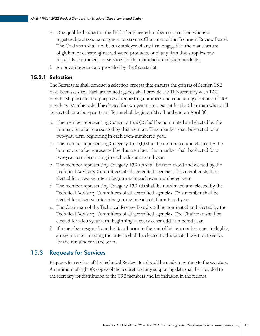- <span id="page-49-0"></span>e. One qualified expert in the field of engineered timber construction who is a registered professional engineer to serve as Chairman of the Technical Review Board. The Chairman shall not be an employee of any firm engaged in the manufacture of glulam or other engineered wood products, or of any firm that supplies raw materials, equipment, or services for the manufacture of such products.
- f. A nonvoting secretary provided by the Secretariat.

#### 15.2.1 Selection

The Secretariat shall conduct a selection process that ensures the criteria of Section 15.2 have been satisfied. Each accredited agency shall provide the TRB secretary with TAC membership lists for the purpose of requesting nominees and conducting elections of TRB members. Members shall be elected for two-year terms, except for the Chairman who shall be elected for a four-year term. Terms shall begin on May 1 and end on April 30.

- a. The member representing Category 15.2 (a) shall be nominated and elected by the laminators to be represented by this member. This member shall be elected for a two-year term beginning in each even-numbered year.
- b. The member representing Category 15.2 (b) shall be nominated and elected by the laminators to be represented by this member. This member shall be elected for a two-year term beginning in each odd-numbered year.
- c. The member representing Category 15.2 (c) shall be nominated and elected by the Technical Advisory Committees of all accredited agencies. This member shall be elected for a two-year term beginning in each even-numbered year.
- d. The member representing Category 15.2 (d) shall be nominated and elected by the Technical Advisory Committees of all accredited agencies. This member shall be elected for a two-year term beginning in each odd numbered year.
- e. The Chairman of the Technical Review Board shall be nominated and elected by the Technical Advisory Committees of all accredited agencies. The Chairman shall be elected for a four-year term beginning in every other odd numbered year.
- f. If a member resigns from the Board prior to the end of his term or becomes ineligible, a new member meeting the criteria shall be elected to the vacated position to serve for the remainder of the term.

#### 15.3 Requests for Services

Requests for services of the Technical Review Board shall be made in writing to the secretary. A minimum of eight (8) copies of the request and any supporting data shall be provided to the secretary for distribution to the TRB members and for inclusion in the records.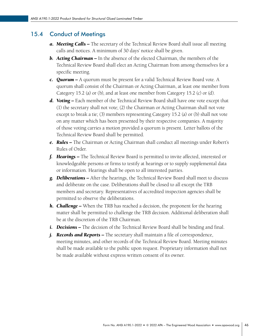# <span id="page-50-0"></span>15.4 Conduct of Meetings

- *a. Meeting Calls –* The secretary of the Technical Review Board shall issue all meeting calls and notices. A minimum of 30 days' notice shall be given.
- *b. Acting Chairman –* In the absence of the elected Chairman, the members of the Technical Review Board shall elect an Acting Chairman from among themselves for a specific meeting.
- *c. Quorum –* A quorum must be present for a valid Technical Review Board vote. A quorum shall consist of the Chairman or Acting Chairman, at least one member from Category 15.2 (a) or (b), and at least one member from Category 15.2 (c) or (d).
- **d. Voting –** Each member of the Technical Review Board shall have one vote except that (1) the secretary shall not vote; (2) the Chairman or Acting Chairman shall not vote except to break a tie; (3) members representing Category 15.2 (a) or (b) shall not vote on any matter which has been presented by their respective companies. A majority of those voting carries a motion provided a quorum is present. Letter ballots of the Technical Review Board shall be permitted.
- *e. Rules* The Chairman or Acting Chairman shall conduct all meetings under Robert's Rules of Order.
- *f. Hearings* The Technical Review Board is permitted to invite affected, interested or knowledgeable persons or firms to testify at hearings or to supply supplemental data or information. Hearings shall be open to all interested parties.
- *g. Deliberations* After the hearings, the Technical Review Board shall meet to discuss and deliberate on the case. Deliberations shall be closed to all except the TRB members and secretary. Representatives of accredited inspection agencies shall be permitted to observe the deliberations.
- *h. Challenge* When the TRB has reached a decision, the proponent for the hearing matter shall be permitted to challenge the TRB decision. Additional deliberation shall be at the discretion of the TRB Chairman.
- i. **Decisions -** The decision of the Technical Review Board shall be binding and final.
- *j. Records and Reports –* The secretary shall maintain a file of correspondence, meeting minutes, and other records of the Technical Review Board. Meeting minutes shall be made available to the public upon request. Proprietary information shall not be made available without express written consent of its owner.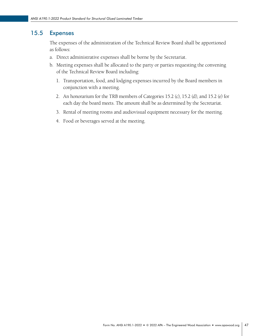### <span id="page-51-0"></span>15.5 Expenses

The expenses of the administration of the Technical Review Board shall be apportioned as follows:

- a. Direct administrative expenses shall be borne by the Secretariat.
- b. Meeting expenses shall be allocated to the party or parties requesting the convening of the Technical Review Board including:
	- 1. Transportation, food, and lodging expenses incurred by the Board members in conjunction with a meeting.
	- 2. An honorarium for the TRB members of Categories 15.2 (c), 15.2 (d), and 15.2 (e) for each day the board meets. The amount shall be as determined by the Secretariat.
	- 3. Rental of meeting rooms and audiovisual equipment necessary for the meeting.
	- 4. Food or beverages served at the meeting.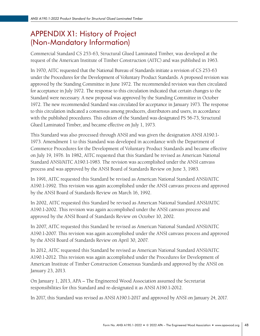# <span id="page-52-0"></span>APPENDIX X1: History of Project (Non-Mandatory Information)

Commercial Standard CS 253-63, Structural Glued Laminated Timber, was developed at the request of the American Institute of Timber Construction (AITC) and was published in 1963.

In 1970, AITC requested that the National Bureau of Standards initiate a revision of CS 253-63 under the Procedures for the Development of Voluntary Product Standards. A proposed revision was approved by the Standing Committee in June 1972. The recommended revision was then circulated for acceptance in July 1972. The response to this circulation indicated that certain changes to the Standard were necessary. A new proposal was approved by the Standing Committee in October 1972. The new recommended Standard was circulated for acceptance in January 1973. The response to this circulation indicated a consensus among producers, distributors and users, in accordance with the published procedures. This edition of the Standard was designated PS 56-73, Structural Glued Laminated Timber, and became effective on July 1, 1973.

This Standard was also processed through ANSI and was given the designation ANSI A190.1- 1973. Amendment 1 to this Standard was developed in accordance with the Department of Commerce Procedures for the Development of Voluntary Product Standards and became effective on July 19, 1976. In 1982, AITC requested that this Standard be revised as American National Standard ANSI/AITC A190.1-1983. The revision was accomplished under the ANSI canvass process and was approved by the ANSI Board of Standards Review on June 3, 1983.

In 1991, AITC requested this Standard be revised as American National Standard ANSI/AITC A190.1-1992. This revision was again accomplished under the ANSI canvass process and approved by the ANSI Board of Standards Review on March 16, 1992.

In 2002, AITC requested this Standard be revised as American National Standard ANSI/AITC A190.1-2002. This revision was again accomplished under the ANSI canvass process and approved by the ANSI Board of Standards Review on October 10, 2002.

In 2007, AITC requested this Standard be revised as American National Standard ANSI/AITC A190.1-2007. This revision was again accomplished under the ANSI canvass process and approved by the ANSI Board of Standards Review on April 30, 2007.

In 2012, AITC requested this Standard be revised as American National Standard ANSI/AITC A190.1-2012. This revision was again accomplished under the Procedures for Development of American Institute of Timber Construction Consensus Standards and approved by the ANSI on January 23, 2013.

On January 1, 2013, APA – The Engineered Wood Association assumed the Secretariat responsibilities for this Standard and re-designated it as ANSI A190.1-2012.

In 2017, this Standard was revised as ANSI A190.1-2017 and approved by ANSI on January 24, 2017.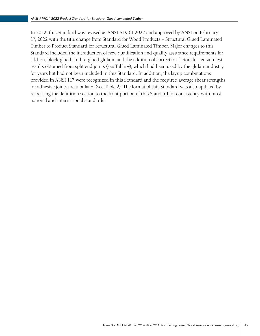In 2022, this Standard was revised as ANSI A190.1-2022 and approved by ANSI on February 17, 2022 with the title change from Standard for Wood Products – Structural Glued Laminated Timber to Product Standard for Structural Glued Laminated Timber. Major changes to this Standard included the introduction of new qualification and quality assurance requirements for add-on, block-glued, and re-glued glulam, and the addition of correction factors for tension test results obtained from split end joints (see Table 4), which had been used by the glulam industry for years but had not been included in this Standard. In addition, the layup combinations provided in ANSI 117 were recognized in this Standard and the required average shear strengths for adhesive joints are tabulated (see Table 2). The format of this Standard was also updated by relocating the definition section to the front portion of this Standard for consistency with most national and international standards.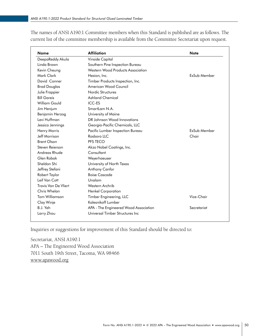| <b>Name</b>          | <b>Affiliation</b>                    | <b>Note</b>  |  |
|----------------------|---------------------------------------|--------------|--|
| DeepaReddy Akula     | Vinside Capital                       |              |  |
| Linda Brown          | Southern Pine Inspection Bureau       |              |  |
| Kevin Cheung         | Western Wood Products Association     |              |  |
| Mark Clark           | Hexion, Inc.                          | ExSub Member |  |
| David Conner         | Timber Products Inspection, Inc.      |              |  |
| <b>Brad Douglas</b>  | American Wood Council                 |              |  |
| Julie Frappier       | Nordic Structures                     |              |  |
| <b>Bill Gareis</b>   | <b>Ashland Chemical</b>               |              |  |
| William Gould        | <b>ICC-ES</b>                         |              |  |
| Jim Henjum           | SmartLam N.A.                         |              |  |
| Benjamin Herzog      | University of Maine                   |              |  |
| Levi Huffman         | DR Johnson Wood Innovations           |              |  |
| Jessica Jennings     | Georgia-Pacific Chemicals, LLC        |              |  |
| Henry Morris         | Pacific Lumber Inspection Bureau      | ExSub Member |  |
| Jeff Morrison        | Rosboro LLC                           | Chair        |  |
| <b>Brent Olson</b>   | PFS TECO                              |              |  |
| Steven Reierson      | Akzo Nobel Coatings, Inc.             |              |  |
| Andreas Rhude        | Consultant                            |              |  |
| Glen Robak           | Weyerhaeuser                          |              |  |
| Sheldon Shi          | University of North Texas             |              |  |
| Jeffrey Stefani      | Anthony Canfor                        |              |  |
| Robert Taylor        | <b>Boise Cascade</b>                  |              |  |
| Leif Van Cott        | Unalam                                |              |  |
| Travis Van De Vliert | Western Archrib                       |              |  |
| Chris Whelan         | <b>Henkel Corporation</b>             |              |  |
| Tom Williamson       | Timber Engineering, LLC               | Vice-Chair   |  |
| Clay Winje           | Kalesnikoff Lumber                    |              |  |
| B.J. Yeh             | APA - The Engineered Wood Association | Secretariat  |  |
| Larry Zhou           | Universal Timber Structures Inc       |              |  |

The names of ANSI A190.1 Committee members when this Standard is published are as follows. The current list of the committee membership is available from the Committee Secretariat upon request.

Inquiries or suggestions for improvement of this Standard should be directed to:

Secretariat, ANSI A190.1 APA – The Engineered Wood Association 7011 South 19th Street, Tacoma, WA 98466 www.apawood.org